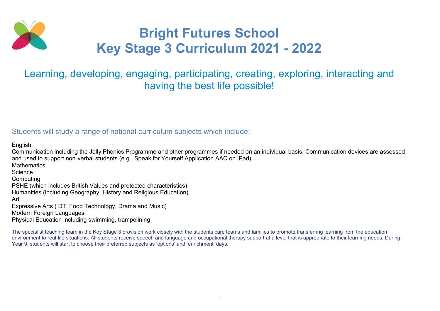

# Bright Futures School Key Stage 3 Curriculum 2021 - 2022

## Learning, developing, engaging, participating, creating, exploring, interacting and having the best life possible!

### Students will study a range of national curriculum subjects which include:

English

Communication including the Jolly Phonics Programme and other programmes if needed on an individual basis. Communication devices are assessed and used to support non-verbal students (e.g., Speak for Yourself Application AAC on iPad) **Mathematics Science** Computing PSHE (which includes British Values and protected characteristics) Humanities (including Geography, History and Religious Education) Art Expressive Arts ( DT, Food Technology, Drama and Music) Modern Foreign Languages Physical Education including swimming, trampolining,

The specialist teaching team in the Key Stage 3 provision work closely with the students care teams and families to promote transferring learning from the education environment to real-life situations. All students receive speech and language and occupational therapy support at a level that is appropriate to their learning needs. During Year 9, students will start to choose their preferred subjects as 'options' and 'enrichment' days.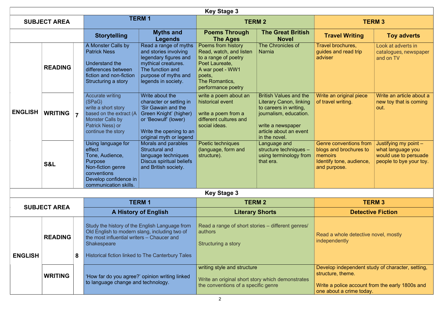|                | <b>Key Stage 3</b>  |                |                                                                                                                                                              |                                                                                                                                                                           |                                                                                                                                                               |                                                                                                                                                                                     |                                                                                                                                                      |                                                                                                |
|----------------|---------------------|----------------|--------------------------------------------------------------------------------------------------------------------------------------------------------------|---------------------------------------------------------------------------------------------------------------------------------------------------------------------------|---------------------------------------------------------------------------------------------------------------------------------------------------------------|-------------------------------------------------------------------------------------------------------------------------------------------------------------------------------------|------------------------------------------------------------------------------------------------------------------------------------------------------|------------------------------------------------------------------------------------------------|
|                | <b>SUBJECT AREA</b> |                |                                                                                                                                                              | <b>TERM1</b>                                                                                                                                                              |                                                                                                                                                               | <b>TERM 2</b>                                                                                                                                                                       |                                                                                                                                                      | <b>TERM 3</b>                                                                                  |
|                |                     |                | <b>Storytelling</b>                                                                                                                                          | <b>Myths and</b><br><b>Legends</b>                                                                                                                                        | <b>Poems Through</b><br><b>The Ages</b>                                                                                                                       | <b>The Great British</b><br><b>Novel</b>                                                                                                                                            | <b>Travel Writing</b>                                                                                                                                | <b>Toy adverts</b>                                                                             |
|                | <b>READING</b>      |                | A Monster Calls by<br><b>Patrick Ness</b><br>Understand the<br>differences between<br>fiction and non-fiction<br>Structuring a story                         | Read a range of myths<br>and stories involving<br>legendary figures and<br>mythical creatures.<br>The function and<br>purpose of myths and<br>legends in society.         | Poems from history<br>Read, watch, and listen<br>to a range of poetry<br>Poet Laureate,<br>A war poet - WW1<br>poets,<br>The Romantics,<br>performance poetry | The Chronicles of<br><b>Narnia</b>                                                                                                                                                  | Travel brochures,<br>guides and read trip<br>adviser                                                                                                 | Look at adverts in<br>catalogues, newspaper<br>and on TV                                       |
| <b>ENGLISH</b> | <b>WRITING</b>      | $\overline{7}$ | <b>Accurate writing</b><br>(SPaG)<br>write a short story<br>based on the extract (A)<br><b>Monster Calls by</b><br>Patrick Ness) or<br>continue the story    | Write about the<br>character or setting in<br>'Sir Gawain and the<br>Green Knight' (higher)<br>or 'Beowulf' (lower)<br>Write the opening to an<br>original myth or legend | write a poem about an<br>historical event<br>write a poem from a<br>different cultures and<br>social ideas.                                                   | <b>British Values and the</b><br><b>Literary Canon, linking</b><br>to careers in writing,<br>journalism, education.<br>write a newspaper<br>article about an event<br>in the novel. | Write an original piece<br>of travel writing.                                                                                                        | Write an article about a<br>new toy that is coming<br>out.                                     |
|                | <b>S&amp;L</b>      |                | Using language for<br>effect<br>Tone, Audience,<br>Purpose<br>Non-fiction genre<br>conventions<br>Develop confidence in<br>communication skills.             | Morals and parables<br><b>Structural and</b><br>language techniques<br>Discus spiritual beliefs<br>and British society.                                                   | Poetic techniques<br>(language, form and<br>structure).                                                                                                       | Language and<br>structure techniques -<br>using terminology from<br>that era.                                                                                                       | <b>Genre conventions from</b><br>blogs and brochures to<br>memoirs<br>Identify tone, audience,<br>and purpose.                                       | Justifying my point -<br>what language you<br>would use to persuade<br>people to bye your toy. |
|                |                     |                |                                                                                                                                                              |                                                                                                                                                                           | <b>Key Stage 3</b>                                                                                                                                            |                                                                                                                                                                                     |                                                                                                                                                      |                                                                                                |
|                |                     |                |                                                                                                                                                              | <b>TERM1</b>                                                                                                                                                              | <b>TERM 2</b>                                                                                                                                                 |                                                                                                                                                                                     | <b>TERM 3</b>                                                                                                                                        |                                                                                                |
|                | <b>SUBJECT AREA</b> |                |                                                                                                                                                              | <b>A History of English</b>                                                                                                                                               |                                                                                                                                                               | <b>Literary Shorts</b>                                                                                                                                                              |                                                                                                                                                      | <b>Detective Fiction</b>                                                                       |
| <b>ENGLISH</b> | <b>READING</b>      | 8              | Study the history of the English Language from<br>Old English to modern slang, including two of<br>the most influential writers - Chaucer and<br>Shakespeare | Historical fiction linked to The Canterbury Tales                                                                                                                         | Read a range of short stories – different genres/<br>authors<br>Structuring a story                                                                           |                                                                                                                                                                                     | Read a whole detective novel, mostly<br>independently                                                                                                |                                                                                                |
|                | <b>WRITING</b>      |                | to language change and technology.                                                                                                                           | 'How far do you agree?' opinion writing linked                                                                                                                            | writing style and structure<br>Write an original short story which demonstrates<br>the conventions of a specific genre                                        |                                                                                                                                                                                     | Develop independent study of character, setting,<br>structure, theme.<br>Write a police account from the early 1800s and<br>one about a crime today. |                                                                                                |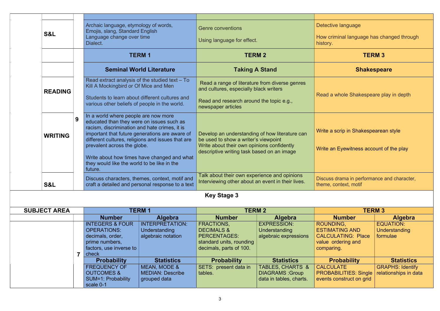|                     |                                                                                                                                                                                                                                                                                                                                                                                        | Archaic language, etymology of words,<br>Emojis, slang, Standard English                                                   |                                                                                                                                                                                    | <b>Genre conventions</b>                                                                                          |                                                                                  | Detective language                                                                                  |                                                      |  |
|---------------------|----------------------------------------------------------------------------------------------------------------------------------------------------------------------------------------------------------------------------------------------------------------------------------------------------------------------------------------------------------------------------------------|----------------------------------------------------------------------------------------------------------------------------|------------------------------------------------------------------------------------------------------------------------------------------------------------------------------------|-------------------------------------------------------------------------------------------------------------------|----------------------------------------------------------------------------------|-----------------------------------------------------------------------------------------------------|------------------------------------------------------|--|
| S&L                 |                                                                                                                                                                                                                                                                                                                                                                                        | Language change over time<br>Dialect.                                                                                      |                                                                                                                                                                                    | Using language for effect.                                                                                        |                                                                                  | How criminal language has changed through<br>history.                                               |                                                      |  |
|                     |                                                                                                                                                                                                                                                                                                                                                                                        |                                                                                                                            | <b>TERM1</b>                                                                                                                                                                       | <b>TERM 2</b>                                                                                                     |                                                                                  | <b>TERM 3</b>                                                                                       |                                                      |  |
|                     |                                                                                                                                                                                                                                                                                                                                                                                        |                                                                                                                            | <b>Seminal World Literature</b>                                                                                                                                                    | <b>Taking A Stand</b>                                                                                             |                                                                                  | <b>Shakespeare</b>                                                                                  |                                                      |  |
| <b>READING</b>      |                                                                                                                                                                                                                                                                                                                                                                                        | Read extract analysis of the studied text - To<br>Kill A Mockingbird or Of Mice and Men                                    |                                                                                                                                                                                    | Read a range of literature from diverse genres<br>and cultures, especially black writers                          |                                                                                  |                                                                                                     |                                                      |  |
|                     |                                                                                                                                                                                                                                                                                                                                                                                        | Students to learn about different cultures and<br>various other beliefs of people in the world.                            |                                                                                                                                                                                    | Read and research around the topic e.g.,<br>newspaper articles                                                    |                                                                                  |                                                                                                     | Read a whole Shakespeare play in depth               |  |
| <b>WRITING</b>      | In a world where people are now more<br>9<br>educated than they were on issues such as<br>racism, discrimination and hate crimes, it is<br>important that future generations are aware of<br>different cultures, religions and issues that are<br>prevalent across the globe.<br>Write about how times have changed and what<br>they would like the world to be like in the<br>future. |                                                                                                                            | Develop an understanding of how literature can<br>be used to show a writer's viewpoint<br>Write about their own opinions confidently<br>descriptive writing task based on an image |                                                                                                                   | Write a scrip in Shakespearean style<br>Write an Eyewitness account of the play  |                                                                                                     |                                                      |  |
| S&L                 |                                                                                                                                                                                                                                                                                                                                                                                        |                                                                                                                            | Discuss characters, themes, context, motif and<br>craft a detailed and personal response to a text                                                                                 | Talk about their own experience and opinions<br>Interviewing other about an event in their lives.                 |                                                                                  | Discuss drama in performance and character,<br>theme, context, motif                                |                                                      |  |
|                     |                                                                                                                                                                                                                                                                                                                                                                                        |                                                                                                                            |                                                                                                                                                                                    | <b>Key Stage 3</b>                                                                                                |                                                                                  |                                                                                                     |                                                      |  |
| <b>SUBJECT AREA</b> |                                                                                                                                                                                                                                                                                                                                                                                        |                                                                                                                            | <b>TERM1</b>                                                                                                                                                                       | <b>TERM 2</b>                                                                                                     |                                                                                  | <b>TERM 3</b>                                                                                       |                                                      |  |
|                     |                                                                                                                                                                                                                                                                                                                                                                                        | <b>Number</b>                                                                                                              | <b>Algebra</b>                                                                                                                                                                     | <b>Number</b>                                                                                                     | <b>Algebra</b>                                                                   | <b>Number</b>                                                                                       | <b>Algebra</b>                                       |  |
|                     |                                                                                                                                                                                                                                                                                                                                                                                        | <b>INTEGERS &amp; FOUR</b><br><b>OPERATIONS:</b><br>decimals, order,<br>prime numbers,<br>factors, use inverse to<br>check | <b>INTERPRETATION:</b><br><b>Understanding</b><br>algebraic notation                                                                                                               | FRACTIONS,<br><b>DECIMALS &amp;</b><br><b>PERCENTAGES:</b><br>standard units, rounding<br>decimals, parts of 100. | <b>EXPRESSION:</b><br>Understanding<br>algebraic expressions                     | ROUNDING,<br><b>ESTIMATING AND</b><br><b>CALCULATING: Place</b><br>value ordering and<br>comparing. | <b>EQUATION:</b><br><b>Understanding</b><br>formulae |  |
|                     |                                                                                                                                                                                                                                                                                                                                                                                        | <b>Probability</b>                                                                                                         | <b>Statistics</b>                                                                                                                                                                  | <b>Probability</b>                                                                                                | <b>Statistics</b>                                                                | <b>Probability</b>                                                                                  | <b>Statistics</b>                                    |  |
|                     |                                                                                                                                                                                                                                                                                                                                                                                        | <b>FREQUENCY OF</b><br><b>OUTCOMES &amp;</b><br>SUM=1: Probability<br>scale 0-1                                            | MEAN, MODE &<br><b>MEDIAN: Describe</b><br>grouped data                                                                                                                            | SETS: present data in<br>tables.                                                                                  | <b>TABLES, CHARTS &amp;</b><br><b>DIAGRAMS: Group</b><br>data in tables, charts. | <b>CALCULATE</b><br><b>PROBABILITIES: Single</b><br>events construct on grid                        | <b>GRAPHS: Identify</b><br>relationships in data     |  |

|  | check                                       |                                         | $\alpha$              |                                                   | $\sim$                |
|--|---------------------------------------------|-----------------------------------------|-----------------------|---------------------------------------------------|-----------------------|
|  | <b>Probability</b>                          | <b>Statistics</b>                       | <b>Probability</b>    | <b>Statistics</b>                                 |                       |
|  | <b>FREQUENCY OF</b>                         | <b>MEAN, MODE &amp;</b>                 | SETS: present data in | TABLES, CHARTS &                                  | <b>CALC</b>           |
|  | <b>OUTCOMES &amp;</b><br>SUM=1: Probability | <b>MEDIAN: Describe</b><br>grouped data | tables.               | <b>DIAGRAMS: Group</b><br>data in tables, charts. | <b>PROE</b><br>event: |
|  | scale 0-1                                   |                                         |                       |                                                   |                       |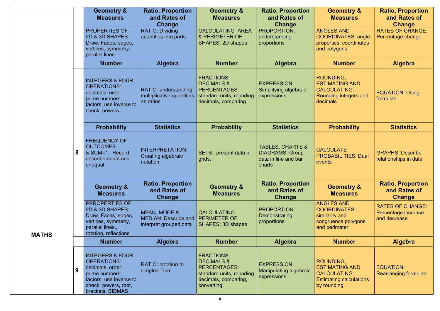|              |   | <b>Geometry &amp;</b><br><b>Measures</b>                                                                                                                      | <b>Ratio, Proportion</b><br>and Rates of<br><b>Change</b>             | <b>Geometry &amp;</b><br><b>Measures</b>                                                                                             | <b>Ratio, Proportion</b><br>and Rates of<br>Change                                      | <b>Geometry &amp;</b><br><b>Measures</b>                                                                   | <b>Ratio, Proportion</b><br>and Rates of<br><b>Change</b>      |
|--------------|---|---------------------------------------------------------------------------------------------------------------------------------------------------------------|-----------------------------------------------------------------------|--------------------------------------------------------------------------------------------------------------------------------------|-----------------------------------------------------------------------------------------|------------------------------------------------------------------------------------------------------------|----------------------------------------------------------------|
|              |   | <b>PROPERTIES OF</b><br>2D & 3D SHAPES:<br>Draw, Faces, edges,<br>vertices, symmetry,<br>parallel lines.                                                      | <b>RATIO: Dividing</b><br>quantities into parts.                      | <b>CALCULATING AREA</b><br>& PERIMETER OF<br><b>SHAPES: 2D shapes</b>                                                                | <b>PROPORTION:</b><br>understanding<br>proportions                                      | <b>ANGLES AND</b><br><b>COORDINATES: angle</b><br>properties, coordinates<br>and polygons                  | <b>RATES OF CHANGE:</b><br>Percentage change                   |
|              |   | <b>Number</b>                                                                                                                                                 | <b>Algebra</b>                                                        | <b>Number</b>                                                                                                                        | <b>Algebra</b>                                                                          | <b>Number</b>                                                                                              | <b>Algebra</b>                                                 |
|              |   | <b>INTEGERS &amp; FOUR</b><br><b>OPERATIONS:</b><br>decimals, order,<br>prime numbers,<br>factors, use inverse to<br>check, powers.                           | RATIO: understanding<br>multiplicative quantities<br>as ratios        | FRACTIONS,<br><b>DECIMALS &amp;</b><br>PERCENTAGES:<br>standard units, rounding<br>decimals, comparing.                              | <b>EXPRESSION:</b><br>Simplifying algebraic<br>expressions                              | ROUNDING,<br><b>ESTIMATING AND</b><br><b>CALCULATING:</b><br>Rounding integers and<br>decimals.            | <b>EQUATION: Using</b><br>formulae                             |
|              |   | <b>Probability</b>                                                                                                                                            | <b>Statistics</b>                                                     | <b>Probability</b>                                                                                                                   | <b>Statistics</b>                                                                       | <b>Probability</b>                                                                                         | <b>Statistics</b>                                              |
|              | 8 | <b>FREQUENCY OF</b><br><b>OUTCOMES</b><br>& SUM=1: Record,<br>describe equal and<br>unequal.                                                                  | <b>INTERPRETATION:</b><br>Creating algebraic<br>notation              | SETS: present data in<br>grids.                                                                                                      | <b>TABLES, CHARTS &amp;</b><br><b>DIAGRAMS: Group</b><br>data in line and bar<br>charts | <b>CALCULATE</b><br><b>PROBABILITIES: Dual</b><br>events                                                   | <b>GRAPHS: Describe</b><br>relationships in data               |
|              |   | <b>Geometry &amp;</b><br><b>Measures</b>                                                                                                                      | <b>Ratio, Proportion</b><br>and Rates of<br>Change                    | <b>Geometry &amp;</b><br><b>Measures</b>                                                                                             | <b>Ratio, Proportion</b><br>and Rates of<br>Change                                      | <b>Geometry &amp;</b><br><b>Measures</b>                                                                   | <b>Ratio, Proportion</b><br>and Rates of<br>Change             |
| <b>MATHS</b> |   | PPROPERTIES OF<br>2D & 3D SHAPES:<br>Draw, Faces, edges,<br>vertices, symmetry,<br>parallel lines.,<br>rotation, reflections                                  | MEAN, MODE &<br><b>MEDIAN: Describe and</b><br>interpret grouped data | <b>CALCULATING</b><br><b>PERIMETER OF</b><br><b>SHAPES: 3D shapes</b>                                                                | <b>PROPORTION:</b><br><b>Demonstrating</b><br>proportions                               | <b>ANGLES AND</b><br><b>COORDINATES:</b><br>similarity and<br>congruence polygons<br>and perimeter         | <b>RATES OF CHANGE:</b><br>Percentage increase<br>and decrease |
|              |   | <b>Number</b>                                                                                                                                                 | <b>Algebra</b>                                                        | <b>Number</b>                                                                                                                        | <b>Algebra</b>                                                                          | <b>Number</b>                                                                                              | <b>Algebra</b>                                                 |
|              | 9 | <b>INTEGERS &amp; FOUR</b><br><b>OPERATIONS:</b><br>decimals, order,<br>prime numbers,<br>factors, use inverse to<br>check, powers, root,<br>brackets. BIDMAS | <b>RATIO: notation to</b><br>simplest form                            | <b>FRACTIONS,</b><br><b>DECIMALS &amp;</b><br><b>PERCENTAGES:</b><br>standard units, rounding<br>decimals, comparing,<br>converting. | <b>EXPRESSION:</b><br>Manipulating algebraic<br>expressions                             | ROUNDING,<br><b>ESTIMATING AND</b><br><b>CALCULATING:</b><br><b>Estimating calculations</b><br>by rounding | <b>EQUATION:</b><br><b>Rearranging formulae</b>                |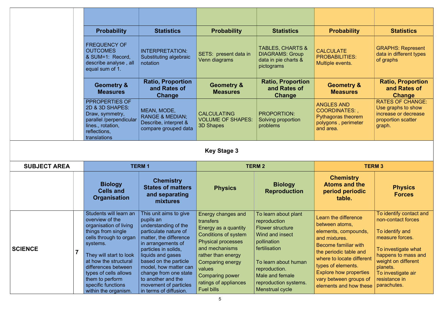|                     | <b>Probability</b>                                                                                                                                                                                                                  | <b>Statistics</b>                                                                                                                                                                                                                                            | <b>Probability</b>                                                                                                                                                                                                         | <b>Statistics</b>                                                                                                                                                              | <b>Probability</b>                                                                                                                                                                                                           | <b>Statistics</b>                                                                                                                                                                          |
|---------------------|-------------------------------------------------------------------------------------------------------------------------------------------------------------------------------------------------------------------------------------|--------------------------------------------------------------------------------------------------------------------------------------------------------------------------------------------------------------------------------------------------------------|----------------------------------------------------------------------------------------------------------------------------------------------------------------------------------------------------------------------------|--------------------------------------------------------------------------------------------------------------------------------------------------------------------------------|------------------------------------------------------------------------------------------------------------------------------------------------------------------------------------------------------------------------------|--------------------------------------------------------------------------------------------------------------------------------------------------------------------------------------------|
|                     | <b>FREQUENCY OF</b><br><b>OUTCOMES</b><br>& SUM=1: Record,<br>describe analyse, all<br>equal sum of 1.                                                                                                                              | <b>INTERPRETATION:</b><br>Substituting algebraic<br>notation                                                                                                                                                                                                 | SETS: present data in<br>Venn diagrams                                                                                                                                                                                     | <b>TABLES, CHARTS &amp;</b><br><b>DIAGRAMS: Group</b><br>data in pie charts &<br>pictograms                                                                                    | <b>CALCULATE</b><br><b>PROBABILITIES:</b><br>Multiple events.                                                                                                                                                                | <b>GRAPHS: Represent</b><br>data in different types<br>of graphs                                                                                                                           |
|                     | <b>Geometry &amp;</b><br><b>Measures</b>                                                                                                                                                                                            | <b>Ratio, Proportion</b><br>and Rates of<br>Change                                                                                                                                                                                                           | <b>Geometry &amp;</b><br><b>Measures</b>                                                                                                                                                                                   | <b>Ratio, Proportion</b><br>and Rates of<br>Change                                                                                                                             | <b>Geometry &amp;</b><br><b>Measures</b>                                                                                                                                                                                     | <b>Ratio, Proportion</b><br>and Rates of<br>Change                                                                                                                                         |
|                     | PPROPERTIES OF<br>2D & 3D SHAPES:<br>Draw, symmetry,<br>parallel /perpendicular<br>lines., rotation,<br>reflections,<br>translations                                                                                                | MEAN, MODE,<br><b>RANGE &amp; MEDIAN;</b><br>Describe, interpret &<br>compare grouped data                                                                                                                                                                   | <b>CALCULATING</b><br><b>VOLUME OF SHAPES:</b><br><b>3D Shapes</b>                                                                                                                                                         | <b>PROPORTION:</b><br>Solving proportion<br>problems                                                                                                                           | <b>ANGLES AND</b><br>COORDINATES:,<br>Pythagoras theorem<br>polygons, perimeter<br>and area.                                                                                                                                 | <b>RATES OF CHANGE:</b><br>Use graphs to show<br>increase or decrease<br>proportion scatter<br>graph.                                                                                      |
|                     |                                                                                                                                                                                                                                     |                                                                                                                                                                                                                                                              | <b>Key Stage 3</b>                                                                                                                                                                                                         |                                                                                                                                                                                |                                                                                                                                                                                                                              |                                                                                                                                                                                            |
| <b>SUBJECT AREA</b> |                                                                                                                                                                                                                                     | <b>TERM1</b>                                                                                                                                                                                                                                                 |                                                                                                                                                                                                                            | <b>TERM 2</b>                                                                                                                                                                  | <b>TERM 3</b>                                                                                                                                                                                                                |                                                                                                                                                                                            |
|                     | <b>Biology</b><br><b>Cells and</b><br><b>Organisation</b>                                                                                                                                                                           | <b>Chemistry</b><br><b>States of matters</b><br>and separating<br>mixtures                                                                                                                                                                                   | <b>Physics</b>                                                                                                                                                                                                             | <b>Biology</b><br><b>Reproduction</b>                                                                                                                                          | <b>Chemistry</b><br><b>Atoms and the</b><br>period periodic<br>table.                                                                                                                                                        | <b>Physics</b><br><b>Forces</b>                                                                                                                                                            |
| <b>SCIENCE</b>      | Students will learn an<br>overview of the<br>organisation of living<br>things from single<br>cells through to organ<br>systems.<br>They will start to look<br>at how the structural<br>differences between<br>types of cells allows | This unit aims to give<br>pupils an<br>understanding of the<br>particulate nature of<br>matter, the difference<br>in arrangements of<br>particles in solids,<br>liquids and gases<br>based on the particle<br>model, how matter can<br>change from one state | Energy changes and<br>transfers<br>Energy as a quantity<br><b>Conditions of system</b><br><b>Physical processes</b><br>and mechanisms<br>rather than energy<br><b>Comparing energy</b><br>values<br><b>Comparing power</b> | To learn about plant<br>reproduction<br><b>Flower structure</b><br>Wind and insect<br>pollination<br>fertilisation<br>To learn about human<br>reproduction.<br>Male and female | <b>Learn the difference</b><br>between atoms,<br>elements, compounds,<br>and mixtures.<br>Become familiar with<br>the periodic table and<br>where to locate different<br>types of elements.<br><b>Explore how properties</b> | To identify contact and<br>non-contact forces<br>To identify and<br>measure forces.<br>To investigate what<br>happens to mass and<br>weight on different<br>planets.<br>To investigate air |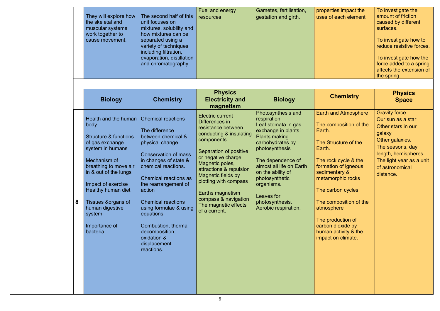|  | They will explore how<br>the skeletal and<br>muscular systems<br>work together to<br>cause movement. | The second half of this<br>unit focuses on<br>mixtures, solubility and<br>how mixtures can be<br>separated using a<br>variety of techniques<br>including filtration,<br>evaporation, distillation<br>and chromatography. | <b>Fuel and energy</b><br>resources | Gametes, fertilisation,<br>gestation and girth. | properties impact the<br>uses of each element | To investigate the<br>amount of friction<br>caused by different<br>surfaces.<br>To investigate how to<br>reduce resistive forces.<br>To investigate how the<br>force added to a spring<br>affects the extension of<br>the spring. |
|--|------------------------------------------------------------------------------------------------------|--------------------------------------------------------------------------------------------------------------------------------------------------------------------------------------------------------------------------|-------------------------------------|-------------------------------------------------|-----------------------------------------------|-----------------------------------------------------------------------------------------------------------------------------------------------------------------------------------------------------------------------------------|
|--|------------------------------------------------------------------------------------------------------|--------------------------------------------------------------------------------------------------------------------------------------------------------------------------------------------------------------------------|-------------------------------------|-------------------------------------------------|-----------------------------------------------|-----------------------------------------------------------------------------------------------------------------------------------------------------------------------------------------------------------------------------------|

|   | <b>Biology</b>                                                                                                                                                                                                                                                                                                             | <b>Chemistry</b>                                                                                                                                                                                                                                                                                                                                                    | <b>Physics</b><br><b>Electricity and</b><br>magnetism                                                                                                                                                                                                                                                                                      | <b>Biology</b>                                                                                                                                                                                                                                                                                               | <b>Chemistry</b>                                                                                                                                                                                                                                                                                                                             | <b>Physics</b><br><b>Space</b>                                                                                                                                                                      |
|---|----------------------------------------------------------------------------------------------------------------------------------------------------------------------------------------------------------------------------------------------------------------------------------------------------------------------------|---------------------------------------------------------------------------------------------------------------------------------------------------------------------------------------------------------------------------------------------------------------------------------------------------------------------------------------------------------------------|--------------------------------------------------------------------------------------------------------------------------------------------------------------------------------------------------------------------------------------------------------------------------------------------------------------------------------------------|--------------------------------------------------------------------------------------------------------------------------------------------------------------------------------------------------------------------------------------------------------------------------------------------------------------|----------------------------------------------------------------------------------------------------------------------------------------------------------------------------------------------------------------------------------------------------------------------------------------------------------------------------------------------|-----------------------------------------------------------------------------------------------------------------------------------------------------------------------------------------------------|
| 8 | Health and the human   Chemical reactions<br>body<br><b>Structure &amp; functions</b><br>of gas exchange<br>system in humans<br>Mechanism of<br>breathing to move air<br>in & out of the lungs<br>Impact of exercise<br>Healthy human diet<br>Tissues &organs of<br>human digestive<br>system<br>Importance of<br>bacteria | The difference<br>between chemical &<br>physical change<br><b>Conservation of mass</b><br>in changes of state &<br>chemical reactions.<br><b>Chemical reactions as</b><br>the rearrangement of<br>action<br><b>Chemical reactions</b><br>using formulae & using<br>equations.<br>Combustion, thermal<br>decomposition,<br>oxidation &<br>displacement<br>reactions. | <b>Electric current</b><br>Differences in<br>resistance between<br>conducting & insulating<br>components<br>Separation of positive<br>or negative charge<br>Magnetic poles,<br>attractions & repulsion<br>Magnetic fields by<br>plotting with compass<br>Earths magnetism<br>compass & navigation<br>The magnetic effects<br>of a current. | Photosynthesis and<br>respiration<br>Leaf stomata in gas<br>exchange in plants.<br><b>Plants making</b><br>carbohydrates by<br>photosynthesis<br>The dependence of<br>almost all life on Earth<br>on the ability of<br>photosynthetic<br>organisms.<br>Leaves for<br>photosynthesis.<br>Aerobic respiration. | <b>Earth and Atmosphere</b><br>The composition of the<br>Earth.<br>The Structure of the<br>Earth.<br>The rock cycle & the<br>formation of igneous<br>sedimentary &<br>metamorphic rocks<br>The carbon cycles<br>The composition of the<br>atmosphere<br>The production of<br>carbon dioxide by<br>human activity & the<br>impact on climate. | <b>Gravity force</b><br>Our sun as a star<br>Other stars in our<br>galaxy<br>Other galaxies.<br>The seasons, day<br>length, hemispheres<br>The light year as a unit<br>of astronomical<br>distance. |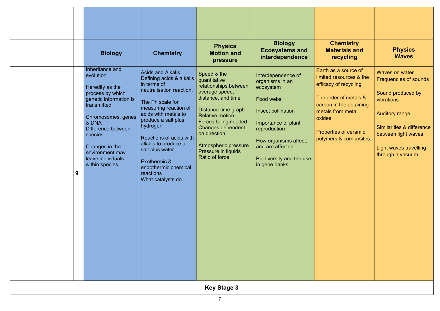| Insect pollination<br>metals from metal<br><b>Auditory range</b><br>acids with metals to<br><b>Relative motion</b><br>Chromosomes, genes<br>oxides<br>produce a salt plus<br>Forces being needed<br>& DNA<br>Importance of plant<br>hydrogen<br><b>Similarities &amp; difference</b><br><b>Changes dependent</b><br>Difference between<br>reproduction<br><b>Properties of ceramic</b><br>on direction<br>between light waves<br>species<br>Reactions of acids with<br>polymers & composites.<br>How organisms affect,<br>alkalis to produce a<br>Atmospheric pressure<br>Changes in the<br>and are affected<br>Light waves travelling<br>salt plus water<br>Pressure in liquids<br>environment may<br>through a vacuum.<br>Ratio of force.<br>leave individuals<br>Biodiversity and the use<br>Exothermic &<br>within species.<br>in gene banks<br>endothermic chemical<br>9<br>reactions<br>What catalysts do. | <b>Biology</b><br>Inheritance and<br>evolution<br>Heredity as the<br>process by which<br>genetic information is<br>transmitted. | <b>Chemistry</b><br><b>Acids and Alkalis</b><br>Defining acids & alkalis<br>in terms of<br>neutralisation reaction.<br>The Ph scale for | <b>Physics</b><br><b>Motion and</b><br>pressure<br>Speed & the<br>quantitative<br>relationships between<br>average speed,<br>distance, and time. | <b>Biology</b><br><b>Ecosystems and</b><br>interdependence<br>Interdependence of<br>organisms in an<br>ecosystem<br>Food webs | <b>Chemistry</b><br><b>Materials and</b><br>recycling<br>Earth as a source of<br>limited resources & the<br>efficacy of recycling<br>The order of metals &<br>carbon in the obtaining | <b>Physics</b><br><b>Waves</b><br>Waves on water<br><b>Frequencies of sounds</b><br>Sound produced by<br>vibrations |
|------------------------------------------------------------------------------------------------------------------------------------------------------------------------------------------------------------------------------------------------------------------------------------------------------------------------------------------------------------------------------------------------------------------------------------------------------------------------------------------------------------------------------------------------------------------------------------------------------------------------------------------------------------------------------------------------------------------------------------------------------------------------------------------------------------------------------------------------------------------------------------------------------------------|---------------------------------------------------------------------------------------------------------------------------------|-----------------------------------------------------------------------------------------------------------------------------------------|--------------------------------------------------------------------------------------------------------------------------------------------------|-------------------------------------------------------------------------------------------------------------------------------|---------------------------------------------------------------------------------------------------------------------------------------------------------------------------------------|---------------------------------------------------------------------------------------------------------------------|
|                                                                                                                                                                                                                                                                                                                                                                                                                                                                                                                                                                                                                                                                                                                                                                                                                                                                                                                  |                                                                                                                                 | measuring reaction of                                                                                                                   | Distance-time graph                                                                                                                              |                                                                                                                               |                                                                                                                                                                                       |                                                                                                                     |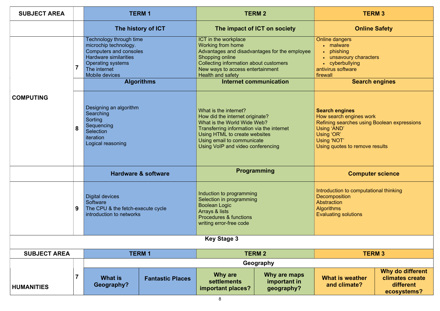### **Online Safety**

### **Search engines**

### engines

earch engines work  $\overline{\rm g}$  searches using Boolean expressions 'AND' OR' 'NOT' quotes to remove results

### **Computer science**

Iction to computational thinking nposition  $\overline{\text{c}}$ tion  $hms$ ting solutions

| <b>SUBJECT AREA</b> |   |                                                                                                                                                                                                                                                                                                                                   | <b>TERM1</b>                   |                                                                                                                                                                                                                                          | <b>TERM 2</b>                                                                  |                                                                                                                                                                        | <b>TERM 3</b> |
|---------------------|---|-----------------------------------------------------------------------------------------------------------------------------------------------------------------------------------------------------------------------------------------------------------------------------------------------------------------------------------|--------------------------------|------------------------------------------------------------------------------------------------------------------------------------------------------------------------------------------------------------------------------------------|--------------------------------------------------------------------------------|------------------------------------------------------------------------------------------------------------------------------------------------------------------------|---------------|
|                     |   |                                                                                                                                                                                                                                                                                                                                   | The history of ICT             |                                                                                                                                                                                                                                          | The impact of ICT on society                                                   | <b>Online Safe</b>                                                                                                                                                     |               |
|                     |   | Technology through time<br>microchip technology.<br><b>Computers and consoles</b><br><b>Hardware similarities</b><br><b>Operating systems</b><br>The internet<br><b>Mobile devices</b><br><b>Algorithms</b><br>Designing an algorithm<br>Searching<br>Sorting<br>Sequencing<br>Selection<br><i>iteration</i><br>Logical reasoning |                                | ICT in the workplace<br>Working from home<br><b>Shopping online</b><br>Collecting information about customers<br>New ways to access entertainment<br>Health and safety                                                                   | Advantages and disadvantages for the employee<br><b>Internet communication</b> | <b>Online dangers</b><br>• malware<br>• phishing<br>• unsavoury characters<br>• cyberbullying<br>antivirus software<br>firewall<br><b>Search engil</b>                 |               |
| <b>COMPUTING</b>    | 8 |                                                                                                                                                                                                                                                                                                                                   |                                | What is the internet?<br>How did the internet originate?<br>What is the World Wide Web?<br>Transferring information via the internet<br>Using HTML to create websites<br>Using email to communicate<br>Using VoIP and video conferencing |                                                                                | <b>Search engines</b><br>How search engines work<br><b>Refining searches using Boole</b><br>Using 'AND'<br>Using 'OR'<br>Using 'NOT'<br>Using quotes to remove results |               |
|                     |   |                                                                                                                                                                                                                                                                                                                                   | <b>Hardware &amp; software</b> |                                                                                                                                                                                                                                          | <b>Programming</b>                                                             | <b>Computer sci</b>                                                                                                                                                    |               |
| 9                   |   | <b>Digital devices</b><br>Software<br>The CPU & the fetch-execute cycle<br>introduction to networks                                                                                                                                                                                                                               |                                | Induction to programming<br>Selection in programming<br><b>Boolean Logic</b><br><b>Arrays &amp; lists</b><br><b>Procedures &amp; functions</b><br>writing error-free code                                                                |                                                                                | Introduction to computational th<br><b>Decomposition</b><br>Abstraction<br><b>Algorithms</b><br><b>Evaluating solutions</b>                                            |               |
|                     |   |                                                                                                                                                                                                                                                                                                                                   |                                | <b>Key Stage 3</b>                                                                                                                                                                                                                       |                                                                                |                                                                                                                                                                        |               |
| <b>SUBJECT AREA</b> |   |                                                                                                                                                                                                                                                                                                                                   | <b>TERM1</b>                   |                                                                                                                                                                                                                                          | <b>TERM 2</b>                                                                  |                                                                                                                                                                        | <b>TERM 3</b> |
|                     |   |                                                                                                                                                                                                                                                                                                                                   |                                |                                                                                                                                                                                                                                          | Geography                                                                      |                                                                                                                                                                        |               |
| <b>HUMANITIES</b>   | 7 | <b>What is</b><br>Geography?                                                                                                                                                                                                                                                                                                      | <b>Fantastic Places</b>        | <b>Why are</b><br><b>settlements</b><br>important places?                                                                                                                                                                                | Why are maps<br>important in<br>geography?                                     | <b>What is weather</b><br>and climate?                                                                                                                                 | W<br> c       |

Why do different climates create different ecosystems?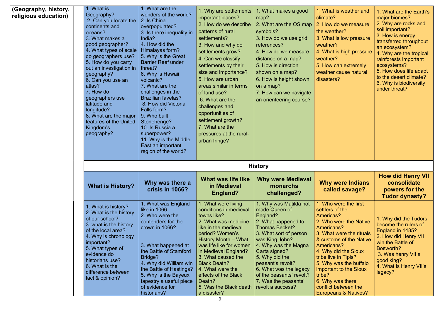at is weather and  $e^e$ 

v do we measure ather?

at is low pressure  $er?$ 

at is high pressure er?

v can extremely

er cause natural ers?

| (Geography, history,<br>religious education) | 1. What is<br>Geography?<br>2. Can you locate the<br>continents and<br>oceans?<br>3. What makes a<br>good geographer?<br>4. What types of scale<br>do geographers use?<br>5. How do you carry<br>out an investigation in<br>geography?<br>6. Can you use an<br>atlas?<br>7. How do<br>geographers use<br>latitude and<br>longitude?<br>8. What are the major<br>features of the United<br>Kingdom's<br>geography? | 1. What are the<br>wonders of the world?<br>2. Is China<br>overpopulated?<br>3. Is there inequality in<br>India?<br>4. How did the<br>Himalayas form?<br>5. Why is the Great<br><b>Barrier Reef under</b><br>threat?<br>6. Why is Hawaii<br>volcanic?<br>7. What are the<br>challenges in the<br><b>Brazilian favelas?</b><br>8. How did Victoria<br>Falls form?<br>9. Who built<br>Stonehenge?<br>10. Is Russia a<br>superpower?<br>11. Why is the Middle<br>East an important<br>region of the world? | 1. Why are settlements<br>important places?<br>2. How do we describe<br>patterns of rural<br>settlements?<br>3. How and why do<br>settlements grow?<br>4. Can we classify<br>settlements by their<br>size and importance?<br>5. How are urban<br>areas similar in terms<br>of land use?<br>6. What are the<br>challenges and<br>opportunities of<br>settlement growth?<br>7. What are the<br>pressures at the rural-<br>urban fringe? | 1. What makes a good<br>map?<br>2. What are the OS map<br>symbols?<br>3. How do we use grid<br>references?<br>4. How do we measure<br>distance on a map?<br>5. How is direction<br>shown on a map?<br>6. How is height shown<br>on a map?<br>7. How can we navigate<br>an orienteering course?                                     | 1. Wha<br>climate<br>2. How<br>the we<br>3. Wha<br>weathe<br>4. Wha<br>weathe<br>5. How<br>weathe<br>disaste                                                         |
|----------------------------------------------|-------------------------------------------------------------------------------------------------------------------------------------------------------------------------------------------------------------------------------------------------------------------------------------------------------------------------------------------------------------------------------------------------------------------|---------------------------------------------------------------------------------------------------------------------------------------------------------------------------------------------------------------------------------------------------------------------------------------------------------------------------------------------------------------------------------------------------------------------------------------------------------------------------------------------------------|---------------------------------------------------------------------------------------------------------------------------------------------------------------------------------------------------------------------------------------------------------------------------------------------------------------------------------------------------------------------------------------------------------------------------------------|------------------------------------------------------------------------------------------------------------------------------------------------------------------------------------------------------------------------------------------------------------------------------------------------------------------------------------|----------------------------------------------------------------------------------------------------------------------------------------------------------------------|
|                                              | <b>What is History?</b>                                                                                                                                                                                                                                                                                                                                                                                           | Why was there a<br>crisis in 1066?                                                                                                                                                                                                                                                                                                                                                                                                                                                                      | What was life like<br>in Medieval<br>England?                                                                                                                                                                                                                                                                                                                                                                                         | <b>History</b><br><b>Why were Medieval</b><br>monarchs<br>challenged?                                                                                                                                                                                                                                                              | <b>Why</b><br>cal                                                                                                                                                    |
|                                              | 1. What is history?<br>2. What is the history<br>of our school?<br>3. what is the history<br>of the local area?<br>4. Why is chronology<br>important?<br>5. What types of<br>evidence do<br>historians use?<br>6. What is the<br>difference between<br>fact & opinion?                                                                                                                                            | 1. What was England<br>like in 1066<br>2. Who were the<br>contenders for the<br>crown in 1066?<br>3. What happened at<br>the Battle of Stamford<br>Bridge?<br>4. Why did William win<br>the Battle of Hastings?<br>5. Why is the Bayeux<br>tapestry a useful piece<br>of evidence for<br>historians?                                                                                                                                                                                                    | 1. What were living<br>conditions in medieval<br>towns like?<br>2. What was medicine<br>like in the medieval<br>period? Women's<br><b>History Month - What</b><br>was life like for women<br>in Medieval England?<br>3. What caused the<br><b>Black Death?</b><br>4. What were the<br>effects of the Black<br>Death?<br>5. Was the Black death<br>a disaster?                                                                         | 1. Why was Matilda not<br>made Queen of<br>England?<br>2. What happened to<br><b>Thomas Becket?</b><br>3. What sort of person<br>was King John?<br>4. Why was the Magna<br>Carta signed?<br>5. Why did the<br>peasant's revolt?<br>6. What was the legacy<br>of the peasants' revolt?<br>7. Was the peasants'<br>revolt a success? | 1. Who<br>settlers<br>Americ<br>2. Who<br>Americ<br>3. Wha<br>& cust<br>Americ<br>4. Why<br>tribe liv<br>5. Why<br>importa<br>tribe?<br>6. Why<br>conflict<br>Europe |

1. What are the Earth's major biomes? 2. Why are rocks and soil important? 3. How is energy transferred throughout an ecosystem? 4. Why are the tropical rainforests important ecosystems? 5. How does life adapt to the desert climate? 6. Why is biodiversity under threat?

### were Indians **lled savage?**

o were the first s of the  $cas?$ o were the Native  $cans?$ at were the rituals oms of the Native  $cans?$ v did the Sioux  $\sqrt{v}$ e in Tipis? / was the buffalo ant to the Sioux

was there t between the eans & Natives?

### How did Henry VII consolidate powers for the Tudor dynasty?

1. Why did the Tudors become the rulers of England in 1485? 2. How did Henry VII win the Battle of Bosworth? 3. Was henry VII a good king? 4. What is Henry VII's legacy?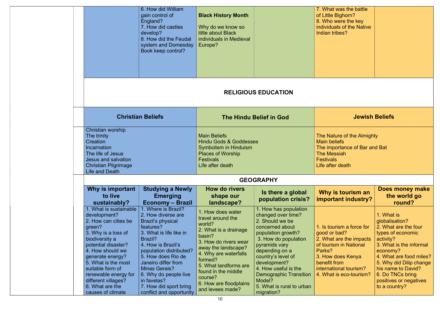|                                                                                                                                                                                                                                                                                                                   | 6. How did William<br>gain control of<br>England?<br>7. How did castles<br>develop?<br>8. How did the Feudal<br>system and Domesday<br>Book keep control?                                                                                                                                                                                    | <b>Black History Month</b><br>Why do we know so<br>little about Black<br>individuals in Medieval<br>Europe?                                                                                                                                                                      |                                                                                                                                                                                                                                                                                                                        | 7. What was the battle<br>of Little Bighorn?<br>8. Who were the key<br>individuals of the Native<br>Indian tribes?                                                                                 |                                                                                                                                                                                                                                                                          |  |
|-------------------------------------------------------------------------------------------------------------------------------------------------------------------------------------------------------------------------------------------------------------------------------------------------------------------|----------------------------------------------------------------------------------------------------------------------------------------------------------------------------------------------------------------------------------------------------------------------------------------------------------------------------------------------|----------------------------------------------------------------------------------------------------------------------------------------------------------------------------------------------------------------------------------------------------------------------------------|------------------------------------------------------------------------------------------------------------------------------------------------------------------------------------------------------------------------------------------------------------------------------------------------------------------------|----------------------------------------------------------------------------------------------------------------------------------------------------------------------------------------------------|--------------------------------------------------------------------------------------------------------------------------------------------------------------------------------------------------------------------------------------------------------------------------|--|
|                                                                                                                                                                                                                                                                                                                   |                                                                                                                                                                                                                                                                                                                                              |                                                                                                                                                                                                                                                                                  | <b>RELIGIOUS EDUCATION</b>                                                                                                                                                                                                                                                                                             |                                                                                                                                                                                                    |                                                                                                                                                                                                                                                                          |  |
|                                                                                                                                                                                                                                                                                                                   | <b>Christian Beliefs</b>                                                                                                                                                                                                                                                                                                                     |                                                                                                                                                                                                                                                                                  | <b>The Hindu Belief in God</b>                                                                                                                                                                                                                                                                                         | <b>Jewish Beliefs</b>                                                                                                                                                                              |                                                                                                                                                                                                                                                                          |  |
| Christian worship<br>The trinity<br>Creation<br>Incarnation<br>The life of Jesus<br>Jesus and salvation<br><b>Christian Pilgrimage</b><br><b>Life and Death</b>                                                                                                                                                   |                                                                                                                                                                                                                                                                                                                                              | <b>Main Beliefs</b><br><b>Hindu Gods &amp; Goddesses</b><br>Symbolism in Hinduism<br><b>Places of Worship</b><br><b>Festivals</b><br>Life after death                                                                                                                            |                                                                                                                                                                                                                                                                                                                        | The Nature of the Almighty<br><b>Main beliefs</b><br>The importance of Bar and Bat<br><b>The Messiah</b><br><b>Festivals</b><br>Life after death                                                   |                                                                                                                                                                                                                                                                          |  |
|                                                                                                                                                                                                                                                                                                                   |                                                                                                                                                                                                                                                                                                                                              |                                                                                                                                                                                                                                                                                  | <b>GEOGRAPHY</b>                                                                                                                                                                                                                                                                                                       |                                                                                                                                                                                                    |                                                                                                                                                                                                                                                                          |  |
| Why is important<br>to live<br>sustainably?                                                                                                                                                                                                                                                                       | <b>Studying a Newly</b><br><b>Emerging</b><br><b>Economy - Brazil</b>                                                                                                                                                                                                                                                                        | <b>How do rivers</b><br>shape our<br>landscape?                                                                                                                                                                                                                                  | Is there a global<br>population crisis?                                                                                                                                                                                                                                                                                | Why is tourism an<br>important industry?                                                                                                                                                           | Does money make<br>the world go<br>round?                                                                                                                                                                                                                                |  |
| . What is sustainable<br>development?<br>2. How can cities be<br>green?<br>3. Why is a loss of<br>biodiversity a<br>potential disaster?<br>4. How should we<br>generate energy?<br>5. What is the most<br>suitable form of<br>renewable energy for<br>different villages?<br>6. What are the<br>causes of climate | 1. Where is Brazil?<br>2. How diverse are<br><b>Brazil's physical</b><br>features?<br>3. What is life like in<br>Brazil?<br>4. How is Brazil's<br>population distributed?<br>5. How does Rio de<br>Janeiro differ from<br><b>Minas Gerais?</b><br>6. Why do people live<br>in favelas?<br>7. How did sport bring<br>conflict and opportunity | 1. How does water<br>travel around the<br>world?<br>2. What is a drainage<br>basin?<br>3. How do rivers wear<br>away the landscape?<br>4. Why are waterfalls<br>formed?<br>5. What landforms are<br>found in the middle<br>course?<br>6. How are floodplains<br>and levees made? | 1. How has population<br>changed over time?<br>2. Should we be<br>concerned about<br>population growth?<br>3. How do population<br>pyramids vary<br>depending on a<br>country's level of<br>development?<br>4. How useful is the<br><b>Demographic Transition</b><br>Model?<br>5. What is rural to urban<br>migration? | 1. Is tourism a force for<br>good or bad?<br>2. What are the impacts<br>of tourism in National<br>Parks?<br>3. How does Kenya<br>benefit from<br>international tourism?<br>4. What is eco-tourism? | 1. What is<br>globalisation?<br>2. What are the four<br>types of economic<br>activity?<br>3. What is the informal<br>economy?<br>4. What are food miles?<br>5. Why did Dilip change<br>his name to David?<br>6. Do TNCs bring<br>positives or negatives<br>to a country? |  |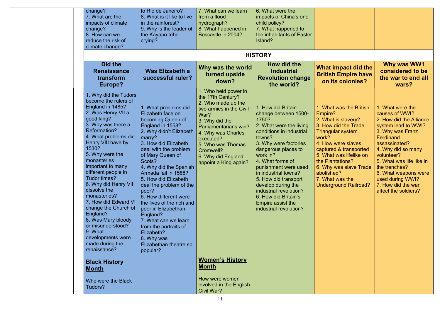| change?<br>7. What are the<br>impacts of climate<br>change?<br>8. How can we<br>reduce the risk of<br>climate change?                                                                                                                                                                                                                                                                                                                                                                                                                                                                                        | to Rio de Janeiro?<br>8. What is it like to live<br>in the rainforest?<br>9. Why is the leader of<br>the Kayapo tribe<br>crying?                                                                                                                                                                                                                                                                                                                                                                                                 | 7. What can we learn<br>from a flood<br>hydrograph?<br>8. What happened in<br>Boscastle in 2004?                                                                                                                                                                                                                                                         | 6. What were the<br>impacts of China's one<br>child policy?<br>7. What happened to<br>the inhabitants of Easter<br>Island?                                                                                                                                                                                                                                                                          |                                                                                                                                                                                                                                                                                                                  |                                                                                                                                                                                                                                                                                                                   |
|--------------------------------------------------------------------------------------------------------------------------------------------------------------------------------------------------------------------------------------------------------------------------------------------------------------------------------------------------------------------------------------------------------------------------------------------------------------------------------------------------------------------------------------------------------------------------------------------------------------|----------------------------------------------------------------------------------------------------------------------------------------------------------------------------------------------------------------------------------------------------------------------------------------------------------------------------------------------------------------------------------------------------------------------------------------------------------------------------------------------------------------------------------|----------------------------------------------------------------------------------------------------------------------------------------------------------------------------------------------------------------------------------------------------------------------------------------------------------------------------------------------------------|-----------------------------------------------------------------------------------------------------------------------------------------------------------------------------------------------------------------------------------------------------------------------------------------------------------------------------------------------------------------------------------------------------|------------------------------------------------------------------------------------------------------------------------------------------------------------------------------------------------------------------------------------------------------------------------------------------------------------------|-------------------------------------------------------------------------------------------------------------------------------------------------------------------------------------------------------------------------------------------------------------------------------------------------------------------|
|                                                                                                                                                                                                                                                                                                                                                                                                                                                                                                                                                                                                              |                                                                                                                                                                                                                                                                                                                                                                                                                                                                                                                                  |                                                                                                                                                                                                                                                                                                                                                          | <b>HISTORY</b>                                                                                                                                                                                                                                                                                                                                                                                      |                                                                                                                                                                                                                                                                                                                  |                                                                                                                                                                                                                                                                                                                   |
| Did the<br><b>Renaissance</b><br>transform<br>Europe?                                                                                                                                                                                                                                                                                                                                                                                                                                                                                                                                                        | <b>Was Elizabeth a</b><br>successful ruler?                                                                                                                                                                                                                                                                                                                                                                                                                                                                                      | Why was the world<br>turned upside<br>down?                                                                                                                                                                                                                                                                                                              | How did the<br><b>Industrial</b><br><b>Revolution change</b><br>the world?                                                                                                                                                                                                                                                                                                                          | What impact did the<br><b>British Empire have</b><br>on its colonies?                                                                                                                                                                                                                                            | Why was WW1<br>considered to be<br>the war to end all<br>wars?                                                                                                                                                                                                                                                    |
| 1. Why did the Tudors<br>become the rulers of<br>England in 1485?<br>2. Was Henry VII a<br>good king?<br>3. Why was there a<br>Reformation?<br>4. What problems did<br>Henry VIII have by<br>1530?<br>5. Why were the<br>monasteries<br>important to many<br>different people in<br>Tudor times?<br>6. Why did Henry VIII<br>dissolve the<br>monasteries?<br>7. How did Edward VI<br>change the Church of<br>England?<br>8. Was Mary bloody<br>or misunderstood?<br>9. What<br>developments were<br>made during the<br>renaissance?<br><b>Black History</b><br><b>Month</b><br>Who were the Black<br>Tudors? | 1. What problems did<br>Elizabeth face on<br>becoming Queen of<br>England in 1558?<br>2. Why didn't Elizabeth<br>marry?<br>3. How did Elizabeth<br>deal with the problem<br>of Mary Queen of<br>Scots?<br>4. Why did the Spanish<br>Armada fail in 1588?<br>5. How did Elizabeth<br>deal the problem of the<br>poor?<br>6. How different were<br>the lives of the rich and<br>poor in Elizabethan<br>England?<br>7. What can we learn<br>from the portraits of<br>Elizabeth?<br>8. Why was<br>Elizabethan theatre so<br>popular? | 1. Who held power in<br>the 17th Century?<br>2. Who made up the<br>two armies in the Civil<br>War?<br>3. Why did the<br>Parliamentarians win?<br>4. Why was Charles<br>executed?<br>5. Who was Thomas<br>Cromwell?<br>6. Why did England<br>appoint a King again?<br><b>Women's History</b><br><b>Month</b><br>How were women<br>involved in the English | 1. How did Britain<br>change between 1500-<br>1750?<br>2. What were the living<br>conditions in industrial<br>towns?<br>3. Why were factories<br>dangerous places to<br>work in?<br>4. What forms of<br>punishment were used<br>in industrial towns?<br>5. How did transport<br>develop during the<br>industrial revolution?<br>6. How did Britain's<br>Empire assist the<br>industrial revolution? | 1. What was the British<br>Empire?<br>2. What is slavery?<br>3. How did the Trade<br><b>Triangular system</b><br>work?<br>4. How were slaves<br>captured & transported<br>5. What was lifelike on<br>the Plantations?<br>6. Why was slave Trade<br>abolished?<br>7. What was the<br><b>Underground Railroad?</b> | 1. What were the<br>causes of WWI?<br>2. How did the Alliance<br>system lead to WWI?<br>3. Why was Franz<br>Ferdinand<br>assassinated?<br>4. Why did so many<br>volunteer?<br>5. What was life like in<br>the trenches?<br>6. What weapons were<br>used during WWI?<br>7. How did the war<br>affect the soldiers? |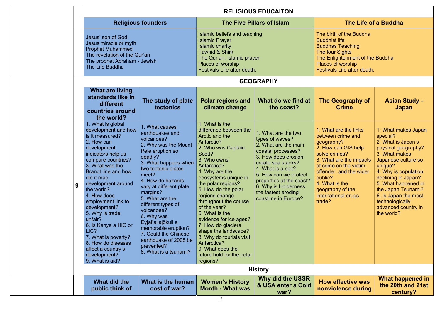|   | <b>RELIGIOUS EDUCAITON</b>                                                                                                                                                                                                                                                                                                                                                                                                                                |                                                                                                                                                                                                                                                                                                                                                                                                                                      |                                                                                                                                                                                                                                                                                                                                                                                                                                                                                            |                                                                                                                                                                                                                                                                                     |                                                                                                                                                                                                                                                                     |                                                                                                                                                                                                                                                                                                             |  |  |
|---|-----------------------------------------------------------------------------------------------------------------------------------------------------------------------------------------------------------------------------------------------------------------------------------------------------------------------------------------------------------------------------------------------------------------------------------------------------------|--------------------------------------------------------------------------------------------------------------------------------------------------------------------------------------------------------------------------------------------------------------------------------------------------------------------------------------------------------------------------------------------------------------------------------------|--------------------------------------------------------------------------------------------------------------------------------------------------------------------------------------------------------------------------------------------------------------------------------------------------------------------------------------------------------------------------------------------------------------------------------------------------------------------------------------------|-------------------------------------------------------------------------------------------------------------------------------------------------------------------------------------------------------------------------------------------------------------------------------------|---------------------------------------------------------------------------------------------------------------------------------------------------------------------------------------------------------------------------------------------------------------------|-------------------------------------------------------------------------------------------------------------------------------------------------------------------------------------------------------------------------------------------------------------------------------------------------------------|--|--|
|   |                                                                                                                                                                                                                                                                                                                                                                                                                                                           | <b>Religious founders</b>                                                                                                                                                                                                                                                                                                                                                                                                            |                                                                                                                                                                                                                                                                                                                                                                                                                                                                                            | <b>The Five Pillars of Islam</b>                                                                                                                                                                                                                                                    |                                                                                                                                                                                                                                                                     | The Life of a Buddha                                                                                                                                                                                                                                                                                        |  |  |
|   | Jesus' son of God<br>Jesus miracle or myth<br><b>Prophet Muhammed</b><br>The revelation of the Qur'an<br>The prophet Abraham - Jewish<br>The Life Buddha                                                                                                                                                                                                                                                                                                  |                                                                                                                                                                                                                                                                                                                                                                                                                                      | Islamic beliefs and teaching<br><b>Islamic Prayer</b><br><b>Islamic charity</b><br><b>Tawhid &amp; Shirk</b><br>The Qur'an, Islamic prayer<br>Places of worship<br>Festivals Life after death.                                                                                                                                                                                                                                                                                             |                                                                                                                                                                                                                                                                                     | The birth of the Buddha<br><b>Buddhist life</b><br><b>Buddhas Teaching</b><br>The four Sights<br>The Enlightenment of the Buddha<br>Places of worship<br>Festivals Life after death.                                                                                |                                                                                                                                                                                                                                                                                                             |  |  |
|   |                                                                                                                                                                                                                                                                                                                                                                                                                                                           |                                                                                                                                                                                                                                                                                                                                                                                                                                      |                                                                                                                                                                                                                                                                                                                                                                                                                                                                                            | <b>GEOGRAPHY</b>                                                                                                                                                                                                                                                                    |                                                                                                                                                                                                                                                                     |                                                                                                                                                                                                                                                                                                             |  |  |
|   | <b>What are living</b><br>standards like in<br>different<br>countries around<br>the world?                                                                                                                                                                                                                                                                                                                                                                | The study of plate<br><b>tectonics</b>                                                                                                                                                                                                                                                                                                                                                                                               | <b>Polar regions and</b><br>climate change                                                                                                                                                                                                                                                                                                                                                                                                                                                 | What do we find at<br>the coast?                                                                                                                                                                                                                                                    | <b>The Geography of</b><br><b>Crime</b>                                                                                                                                                                                                                             | <b>Asian Study -</b><br><b>Japan</b>                                                                                                                                                                                                                                                                        |  |  |
| 9 | 1. What is global<br>development and how<br>is it measured?<br>2. How can<br>development<br>indicators help us<br>compare countries?<br>3. What was the<br>Brandt line and how<br>did it map<br>development around<br>the world?<br>4. How does<br>employment link to<br>development?<br>5. Why is trade<br>unfair?<br>6. Is Kenya a HIC or<br>LIC?<br>7. What is poverty?<br>8. How do diseases<br>affect a country's<br>development?<br>9. What is aid? | 1. What causes<br>earthquakes and<br>volcanoes?<br>2. Why was the Mount<br>Pele eruption so<br>deadly?<br>3. What happens when<br>two tectonic plates<br>meet?<br>4. How do hazards<br>vary at different plate<br>margins?<br>5. What are the<br>different types of<br>volcanoes?<br>6. Why was<br>Eyjafjallajökull a<br>memorable eruption?<br>7. Could the Chinese<br>earthquake of 2008 be<br>prevented?<br>8. What is a tsunami? | 1. What is the<br>difference between the<br>Arctic and the<br>Antarctic?<br>2. Who was Captain<br>Scott?<br>3. Who owns<br>Antarctica?<br>4. Why are the<br>ecosystems unique in<br>the polar regions?<br>5. How do the polar<br>regions change<br>throughout the course<br>of the year?<br>6. What is the<br>evidence for ice ages?<br>7. How do glaciers<br>shape the landscape?<br>8. Why do tourists visit<br>Antarctica?<br>9. What does the<br>future hold for the polar<br>regions? | 1. What are the two<br>types of waves?<br>2. What are the main<br>coastal processes?<br>3. How does erosion<br>create sea stacks?<br>4. What is a spit?<br>5. How can we protect<br>properties at the coast?<br>6. Why is Holderness<br>the fastest eroding<br>coastline in Europe? | 1. What are the links<br>between crime and<br>geography?<br>2. How can GIS help<br>solve crimes?<br>3. What are the impacts<br>of crime on the victim,<br>offender, and the wider<br>public?<br>4. What is the<br>geography of the<br>international drugs<br>trade? | 1. What makes Japan<br>special?<br>2. What is Japan's<br>physical geography?<br>3. What makes<br>Japanese culture so<br>unique?<br>4. Why is population<br>declining in Japan?<br>5. What happened in<br>the Japan Tsunami?<br>6. Is Japan the most<br>technologically<br>advanced country in<br>the world? |  |  |
|   |                                                                                                                                                                                                                                                                                                                                                                                                                                                           |                                                                                                                                                                                                                                                                                                                                                                                                                                      |                                                                                                                                                                                                                                                                                                                                                                                                                                                                                            | <b>History</b>                                                                                                                                                                                                                                                                      |                                                                                                                                                                                                                                                                     |                                                                                                                                                                                                                                                                                                             |  |  |
|   | What did the<br>public think of                                                                                                                                                                                                                                                                                                                                                                                                                           | What is the human<br>cost of war?                                                                                                                                                                                                                                                                                                                                                                                                    | <b>Women's History</b><br><b>Month - What was</b>                                                                                                                                                                                                                                                                                                                                                                                                                                          | Why did the USSR<br>& USA enter a Cold<br>war?                                                                                                                                                                                                                                      | <b>How effective was</b><br>nonviolence during                                                                                                                                                                                                                      | What happened in<br>the 20th and 21st<br>century?                                                                                                                                                                                                                                                           |  |  |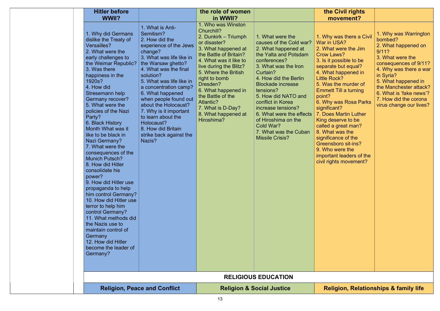| <b>Hitler before</b><br>WWII?                                                                                                                                                                                                                                                                                                                                                                                                                                                                                                                                                                                                                                                                                                                                                    |                                                                                                                                                                                                                                                                                                                                                                                                                                 | the role of women<br>in WWII?                                                                                                                                                                                                                                                                                                                         |                                                                                                                                                                                                                                                                                                                                                                                                        | the Civil rights<br>movement?                                                                                                                                                                                                                                                                                                                                                                                                                                                                            |                                                                                                                                                                                                                                                                                      |
|----------------------------------------------------------------------------------------------------------------------------------------------------------------------------------------------------------------------------------------------------------------------------------------------------------------------------------------------------------------------------------------------------------------------------------------------------------------------------------------------------------------------------------------------------------------------------------------------------------------------------------------------------------------------------------------------------------------------------------------------------------------------------------|---------------------------------------------------------------------------------------------------------------------------------------------------------------------------------------------------------------------------------------------------------------------------------------------------------------------------------------------------------------------------------------------------------------------------------|-------------------------------------------------------------------------------------------------------------------------------------------------------------------------------------------------------------------------------------------------------------------------------------------------------------------------------------------------------|--------------------------------------------------------------------------------------------------------------------------------------------------------------------------------------------------------------------------------------------------------------------------------------------------------------------------------------------------------------------------------------------------------|----------------------------------------------------------------------------------------------------------------------------------------------------------------------------------------------------------------------------------------------------------------------------------------------------------------------------------------------------------------------------------------------------------------------------------------------------------------------------------------------------------|--------------------------------------------------------------------------------------------------------------------------------------------------------------------------------------------------------------------------------------------------------------------------------------|
| 1. Why did Germans<br>dislike the Treaty of<br>Versailles?<br>2. What were the<br>early challenges to<br>the Weimar Republic?<br>3. Was there<br>happiness in the<br>1920s?<br>4. How did<br>Stresemann help<br>Germany recover?<br>5. What were the<br>policies of the Nazi<br>Party?<br>6. Black History<br>Month What was it<br>like to be black in<br>Nazi Germany?<br>7. What were the<br>consequences of the<br><b>Munich Putsch?</b><br>8. How did Hitler<br>consolidate his<br>power?<br>9. How did Hitler use<br>propaganda to help<br>him control Germany?<br>10. How did Hitler use<br>terror to help him<br>control Germany?<br>11. What methods did<br>the Nazis use to<br>maintain control of<br>Germany<br>12. How did Hitler<br>become the leader of<br>Germany? | 1. What is Anti-<br>Semitism?<br>2. How did the<br>experience of the Jews<br>change?<br>3. What was life like in<br>the Warsaw ghetto?<br>4. What was the final<br>solution?<br>5. What was life like in<br>a concentration camp?<br>6. What happened<br>when people found out<br>about the Holocaust?<br>7. Why is it important<br>to learn about the<br>Holocaust?<br>8. How did Britain<br>strike back against the<br>Nazis? | 1. Who was Winston<br>Churchill?<br>2. Dunkirk - Triumph<br>or disaster?<br>3. What happened at<br>the Battle of Britain?<br>4. What was it like to<br>live during the Blitz?<br>5. Where the British<br>right to bomb<br>Dresden?<br>6. What happened in<br>the Battle of the<br>Atlantic?<br>7. What is D-Day?<br>8. What happened at<br>Hiroshima? | 1. What were the<br>causes of the Cold war?<br>2. What happened at<br>the Yalta and Potsdam<br>conferences?<br>3. What was the Iron<br>Curtain?<br>4. How did the Berlin<br><b>Blockade increase</b><br>tensions?<br>5. How did NATO and<br>conflict in Korea<br>increase tensions?<br>6. What were the effects<br>of Hiroshima on the<br>Cold War?<br>7. What was the Cuban<br><b>Missile Crisis?</b> | 1. Why was there a Civil<br>War in USA?<br>2. What were the Jim<br>Crow Laws?<br>3. Is it possible to be<br>separate but equal?<br>4. What happened in<br>Little Rock?<br>5. Was the murder of<br><b>Emmett Till a turning</b><br>point?<br>6. Why was Rosa Parks<br>significant?<br>7. Does Martin Luther<br>King deserve to be<br>called a great man?<br>8. What was the<br>significance of the<br><b>Greensboro sit-ins?</b><br>9. Who were the<br>important leaders of the<br>civil rights movement? | 1. Why was Warrington<br>bombed?<br>2. What happened on<br>9/11?<br>3. What were the<br>consequences of 9/11?<br>4. Why was there a war<br>in Syria?<br>5. What happened in<br>the Manchester attack?<br>6. What is 'fake news'?<br>7. How did the corona<br>virus change our lives? |
|                                                                                                                                                                                                                                                                                                                                                                                                                                                                                                                                                                                                                                                                                                                                                                                  |                                                                                                                                                                                                                                                                                                                                                                                                                                 |                                                                                                                                                                                                                                                                                                                                                       | <b>RELIGIOUS EDUCATION</b>                                                                                                                                                                                                                                                                                                                                                                             |                                                                                                                                                                                                                                                                                                                                                                                                                                                                                                          |                                                                                                                                                                                                                                                                                      |
|                                                                                                                                                                                                                                                                                                                                                                                                                                                                                                                                                                                                                                                                                                                                                                                  | <b>Religion, Peace and Conflict</b>                                                                                                                                                                                                                                                                                                                                                                                             |                                                                                                                                                                                                                                                                                                                                                       | <b>Religion &amp; Social Justice</b>                                                                                                                                                                                                                                                                                                                                                                   | <b>Religion, Relationships &amp; family life</b>                                                                                                                                                                                                                                                                                                                                                                                                                                                         |                                                                                                                                                                                                                                                                                      |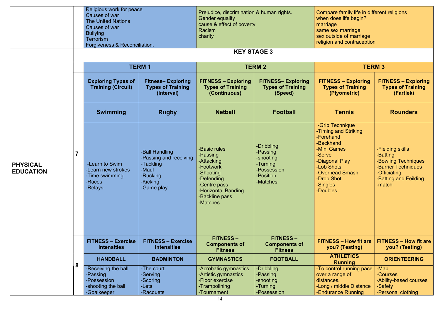|                                                       | Religious work for peace<br>Causes of war<br><b>The United Nations</b><br>Causes of war<br><b>Bullying</b><br><b>Terrorism</b><br>Forgiveness & Reconciliation. |                                                                                                      | Prejudice, discrimination & human rights.<br><b>Gender equality</b><br>cause & effect of poverty<br>Racism<br>charity                               |                                                                                         | Compare family life in different religions<br>when does life begin?<br>marriage<br>same sex marriage<br>sex outside of marriage<br>religion and contraception                       |                                                                                                                               |
|-------------------------------------------------------|-----------------------------------------------------------------------------------------------------------------------------------------------------------------|------------------------------------------------------------------------------------------------------|-----------------------------------------------------------------------------------------------------------------------------------------------------|-----------------------------------------------------------------------------------------|-------------------------------------------------------------------------------------------------------------------------------------------------------------------------------------|-------------------------------------------------------------------------------------------------------------------------------|
|                                                       |                                                                                                                                                                 |                                                                                                      |                                                                                                                                                     | <b>KEY STAGE 3</b>                                                                      |                                                                                                                                                                                     |                                                                                                                               |
|                                                       |                                                                                                                                                                 | <b>TERM1</b>                                                                                         |                                                                                                                                                     | <b>TERM 2</b>                                                                           |                                                                                                                                                                                     | <b>TERM 3</b>                                                                                                                 |
|                                                       | <b>Exploring Types of</b><br><b>Training (Circuit)</b>                                                                                                          | <b>Fitness-Exploring</b><br><b>Types of Training</b><br>(Interval)                                   | <b>FITNESS - Exploring</b><br><b>Types of Training</b><br>(Continuous)                                                                              | <b>FITNESS- Exploring</b><br><b>Types of Training</b><br>(Speed)                        | <b>FITNESS - Exploring</b><br><b>Types of Training</b><br>(Plyometric)                                                                                                              | <b>FITNESS - Exploring</b><br><b>Types of Training</b><br>(Fartlek)                                                           |
|                                                       | <b>Swimming</b>                                                                                                                                                 | <b>Rugby</b>                                                                                         | <b>Netball</b>                                                                                                                                      | <b>Football</b>                                                                         | <b>Tennis</b>                                                                                                                                                                       | <b>Rounders</b>                                                                                                               |
| $\overline{7}$<br><b>PHYSICAL</b><br><b>EDUCATION</b> | -Learn to Swim<br>-Learn new strokes<br>-Time swimming<br>-Races<br>-Relays                                                                                     | -Ball Handling<br>-Passing and receiving<br>-Tackling<br>-Maul<br>-Rucking<br>-Kicking<br>-Game play | -Basic rules<br>-Passing<br>-Attacking<br>-Footwork<br>-Shooting<br>-Defending<br>-Centre pass<br>-Horizontal Banding<br>-Backline pass<br>-Matches | -Dribbling<br>-Passing<br>-shooting<br>-Turning<br>-Possession<br>-Position<br>-Matches | -Grip Technique<br>-Timing and Striking<br>-Forehand<br>-Backhand<br>-Mini Games<br>-Serve<br>-Diagonal Play<br>-Lob Shots<br>-Overhead Smash<br>-Drop Shot<br>-Singles<br>-Doubles | -Fielding skills<br>-Batting<br>-Bowling Techniques<br>-Barrier Techniques<br>-Officiating<br>-Batting and Feilding<br>-match |
|                                                       | <b>FITNESS - Exercise</b><br><b>Intensities</b>                                                                                                                 | <b>FITNESS - Exercise</b><br><b>Intensities</b>                                                      | <b>FITNESS -</b><br><b>Components of</b><br><b>Fitness</b>                                                                                          | <b>FITNESS -</b><br><b>Components of</b><br><b>Fitness</b>                              | <b>FITNESS - How fit are</b><br>you? (Testing)                                                                                                                                      | <b>FITNESS - How fit are</b><br>you? (Testing)                                                                                |
|                                                       | <b>HANDBALL</b>                                                                                                                                                 | <b>BADMINTON</b>                                                                                     | <b>GYMNASTICS</b>                                                                                                                                   | <b>FOOTBALL</b>                                                                         | <b>ATHLETICS</b><br><b>Running</b>                                                                                                                                                  | <b>ORIENTEERING</b>                                                                                                           |
| 8                                                     | -Receiving the ball<br>-Passing<br>-Possession<br>-shooting the ball<br>-Goalkeeper                                                                             | -The court<br>-Serving<br>-Scoring<br>-Lets<br>-Racquets                                             | -Acrobatic gymnastics<br>-Artistic gymnastics<br>-Floor exercise<br>-Trampolining<br>-Tournament                                                    | -Dribbling<br>-Passing<br>-shooting<br>-Turning<br>-Possession                          | -To control running pace<br>over a range of<br>distances.<br>-Long / middle Distance<br>-Endurance Running                                                                          | -Map<br>-Courses<br>-Ability-based courses<br>-Safety<br>-Personal clothing                                                   |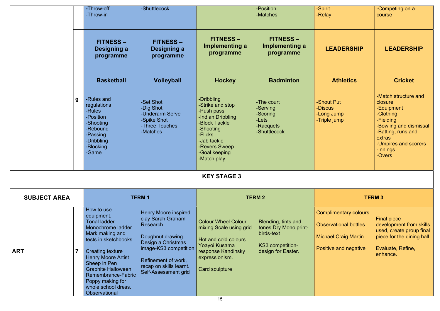|                              | -Throw-off<br>-Throw-in                                                                                                                                                                                                                                                                                 | -Shuttlecock                                                                                                                                                                                               |                                                                                                                                                                            | -Position<br>-Matches                                                                                | -Spirit<br>-Relay                                                                                                    | -Competing on a<br>course                                                                                                                                                       |
|------------------------------|---------------------------------------------------------------------------------------------------------------------------------------------------------------------------------------------------------------------------------------------------------------------------------------------------------|------------------------------------------------------------------------------------------------------------------------------------------------------------------------------------------------------------|----------------------------------------------------------------------------------------------------------------------------------------------------------------------------|------------------------------------------------------------------------------------------------------|----------------------------------------------------------------------------------------------------------------------|---------------------------------------------------------------------------------------------------------------------------------------------------------------------------------|
|                              | <b>FITNESS -</b><br>Designing a<br>programme                                                                                                                                                                                                                                                            | <b>FITNESS -</b><br>Designing a<br>programme                                                                                                                                                               | <b>FITNESS -</b><br>Implementing a<br>programme                                                                                                                            | <b>FITNESS –</b><br>Implementing a<br>programme                                                      | <b>LEADERSHIP</b>                                                                                                    | <b>LEADERSHIP</b>                                                                                                                                                               |
|                              | <b>Basketball</b>                                                                                                                                                                                                                                                                                       | <b>Volleyball</b>                                                                                                                                                                                          | <b>Hockey</b>                                                                                                                                                              | <b>Badminton</b>                                                                                     | <b>Athletics</b>                                                                                                     | <b>Cricket</b>                                                                                                                                                                  |
| 9                            | -Rules and<br>regulations<br>-Rules<br>-Position<br>-Shooting<br>-Rebound<br>-Passing<br>-Dribbling<br>-Blocking<br>-Game                                                                                                                                                                               | -Set Shot<br>-Dig Shot<br>-Underarm Serve<br>-Spike Shot<br>-Three Touches<br>-Matches                                                                                                                     | -Dribbling<br>-Strike and stop<br>-Push pass<br>-Indian Dribbling<br>-Block Tackle<br>-Shooting<br>-Flicks<br>-Jab tackle<br>-Revers Sweep<br>-Goal keeping<br>-Match play | -The court<br>-Serving<br>-Scoring<br>-Lets<br>-Racquets<br>-Shuttlecock                             | -Shout Put<br>-Discus<br>-Long Jump<br>-Triple jump                                                                  | -Match structure and<br>closure<br>-Equipment<br>-Clothing<br>-Fielding<br>-Bowling and dismissal<br>-Batting, runs and<br>extras<br>-Umpires and scorers<br>-Innings<br>-Overs |
|                              |                                                                                                                                                                                                                                                                                                         |                                                                                                                                                                                                            | <b>KEY STAGE 3</b>                                                                                                                                                         |                                                                                                      |                                                                                                                      |                                                                                                                                                                                 |
| <b>SUBJECT AREA</b>          |                                                                                                                                                                                                                                                                                                         | <b>TERM1</b>                                                                                                                                                                                               |                                                                                                                                                                            | <b>TERM 2</b>                                                                                        |                                                                                                                      | <b>TERM 3</b>                                                                                                                                                                   |
| $\overline{7}$<br><b>ART</b> | How to use<br>equipment.<br><b>Tonal ladder</b><br>Monochrome ladder<br>Mark making and<br>tests in sketchbooks<br><b>Creating texture</b><br><b>Henry Moore Artist</b><br>Sheep in Pen<br><b>Graphite Halloween.</b><br>Remembrance-Fabric<br>Poppy making for<br>whole school dress.<br>Observational | <b>Henry Moore inspired</b><br>clay Sarah Graham<br>Research<br>Doughnut drawing.<br>Design a Christmas<br>image-KS3 competition<br>Refinement of work,<br>recap on skills learnt.<br>Self-Assessment grid | <b>Colour Wheel Colour</b><br>mixing Scale using grid<br>Hot and cold colours<br>Yoayoi Kusama<br>response Kandinsky<br>expressionism.<br>Card sculpture                   | Blending, tints and<br>tones Dry Mono print-<br>birds-text<br>KS3 competition-<br>design for Easter. | <b>Complimentary colours</b><br><b>Observational bottles</b><br><b>Michael Craig Martin</b><br>Positive and negative | <b>Final piece</b><br>development from skills<br>used, create group final<br>piece for the dining hall.<br>Evaluate, Refine,<br>enhance.                                        |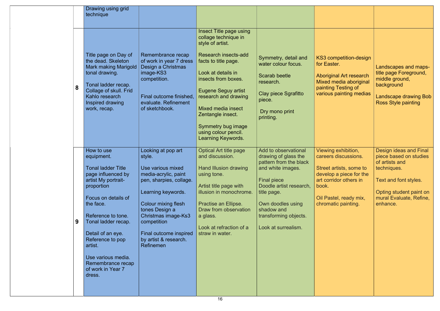|   | Drawing using grid<br>technique                                                                                                                                                                                                                                                                                                 |                                                                                                                                                                                                                                                                           |                                                                                                                                                                                                                                                                                                                                              |                                                                                                                                                                                                                                                |                                                                                                                                                                                       |                                                                                                                                                                              |
|---|---------------------------------------------------------------------------------------------------------------------------------------------------------------------------------------------------------------------------------------------------------------------------------------------------------------------------------|---------------------------------------------------------------------------------------------------------------------------------------------------------------------------------------------------------------------------------------------------------------------------|----------------------------------------------------------------------------------------------------------------------------------------------------------------------------------------------------------------------------------------------------------------------------------------------------------------------------------------------|------------------------------------------------------------------------------------------------------------------------------------------------------------------------------------------------------------------------------------------------|---------------------------------------------------------------------------------------------------------------------------------------------------------------------------------------|------------------------------------------------------------------------------------------------------------------------------------------------------------------------------|
| 8 | Title page on Day of<br>the dead. Skeleton<br><b>Mark making Marigold</b><br>tonal drawing.<br>Tonal ladder recap.<br>Collage of skull. Frid<br>Kahlo research<br>Inspired drawing<br>work, recap.                                                                                                                              | Remembrance recap<br>of work in year 7 dress<br>Design a Christmas<br>image-KS3<br>competition.<br>Final outcome finished,<br>evaluate. Refinement<br>of sketchbook.                                                                                                      | Insect Title page using<br>collage technique in<br>style of artist.<br><b>Research insects-add</b><br>facts to title page.<br>Look at details in<br>insects from boxes.<br><b>Eugene Seguy artist</b><br>research and drawing<br>Mixed media insect<br>Zentangle insect.<br>Symmetry bug image<br>using colour pencil.<br>Learning Keywords. | Symmetry, detail and<br>water colour focus.<br>Scarab beetle<br>research.<br><b>Clay piece Sgrafitto</b><br>piece.<br>Dry mono print<br>printing.                                                                                              | KS3 competition-design<br>for Easter.<br><b>Aboriginal Art research</b><br>Mixed media aboriginal<br>painting Testing of<br>various painting medias                                   | Landscapes and maps-<br>title page Foreground,<br>middle ground,<br>background<br><b>Landscape drawing Bob</b><br><b>Ross Style painting</b>                                 |
| 9 | How to use<br>equipment.<br><b>Tonal ladder Title</b><br>page influenced by<br>artist My portrait-<br>proportion<br>Focus on details of<br>the face.<br>Reference to tone.<br>Tonal ladder recap.<br>Detail of an eye.<br>Reference to pop<br>artist.<br>Use various media.<br>Remembrance recap<br>of work in Year 7<br>dress. | Looking at pop art<br>style.<br>Use various mixed<br>media-acrylic, paint<br>pen, sharpies, collage.<br>Learning keywords.<br>Colour mixing flesh<br>tones Design a<br>Christmas image-Ks3<br>competition<br>Final outcome inspired<br>by artist & research.<br>Refinemen | <b>Optical Art title page</b><br>and discussion.<br>Hand Illusion drawing<br>using tone.<br>Artist title page with<br>illusion in monochrome.<br>Practise an Ellipse.<br>Draw from observation<br>a glass.<br>Look at refraction of a<br>straw in water.                                                                                     | Add to observational<br>drawing of glass the<br>pattern from the black<br>and white images.<br><b>Final piece</b><br>Doodle artist research,<br>title page.<br>Own doodles using<br>shadow and<br>transforming objects.<br>Look at surrealism. | Viewing exhibition,<br>careers discussions.<br>Street artists, some to<br>develop a piece for the<br>art corridor others in<br>book.<br>Oil Pastel, ready mix,<br>chromatic painting. | Design ideas and Final<br>piece based on studies<br>of artists and<br>techniques.<br>Text and font styles.<br>Opting student paint on<br>mural Evaluate, Refine,<br>enhance. |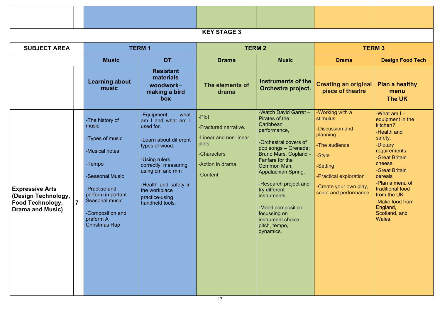|                                                                                                     |                         |                                                                                                                                                                                                             |                                                                                                                                                                                                                                             | <b>KEY STAGE 3</b>                                                                                               |                                                                                                                                                                                                                                                                                                                                                                   |                                                                                                                                                                                 |                                                                                                                                                                                                                                                                                |  |  |
|-----------------------------------------------------------------------------------------------------|-------------------------|-------------------------------------------------------------------------------------------------------------------------------------------------------------------------------------------------------------|---------------------------------------------------------------------------------------------------------------------------------------------------------------------------------------------------------------------------------------------|------------------------------------------------------------------------------------------------------------------|-------------------------------------------------------------------------------------------------------------------------------------------------------------------------------------------------------------------------------------------------------------------------------------------------------------------------------------------------------------------|---------------------------------------------------------------------------------------------------------------------------------------------------------------------------------|--------------------------------------------------------------------------------------------------------------------------------------------------------------------------------------------------------------------------------------------------------------------------------|--|--|
| <b>SUBJECT AREA</b>                                                                                 |                         |                                                                                                                                                                                                             | <b>TERM1</b>                                                                                                                                                                                                                                |                                                                                                                  | <b>TERM 2</b>                                                                                                                                                                                                                                                                                                                                                     |                                                                                                                                                                                 | <b>TERM 3</b>                                                                                                                                                                                                                                                                  |  |  |
|                                                                                                     |                         | <b>Music</b>                                                                                                                                                                                                | <b>DT</b>                                                                                                                                                                                                                                   | <b>Drama</b>                                                                                                     | <b>Music</b>                                                                                                                                                                                                                                                                                                                                                      | <b>Drama</b>                                                                                                                                                                    | <b>Design Food Tech</b>                                                                                                                                                                                                                                                        |  |  |
|                                                                                                     |                         | <b>Learning about</b><br>music                                                                                                                                                                              | <b>Resistant</b><br>materials<br>woodwork-<br>making a bird<br><b>box</b>                                                                                                                                                                   | The elements of<br>drama                                                                                         | <b>Instruments of the</b><br>Orchestra project.                                                                                                                                                                                                                                                                                                                   | <b>Creating an original</b><br>piece of theatre                                                                                                                                 | <b>Plan a healthy</b><br>menu<br>The UK                                                                                                                                                                                                                                        |  |  |
| <b>Expressive Arts</b><br>(Design Technology,<br><b>Food Technology,</b><br><b>Drama and Music)</b> | $\overline{\mathbf{7}}$ | -The history of<br>music<br>-Types of music<br>-Musical notes<br>-Tempo<br>-Seasonal Music<br>-Practise and<br>perform important<br>Seasonal music<br>-Composition and<br>preform A<br><b>Christmas Rap</b> | -Equipment - what<br>am I and what am I<br>used for.<br>-Learn about different<br>types of wood.<br>-Using rulers<br>correctly, measuring<br>using cm and mm<br>-Health and safety in<br>the workplace<br>practice-using<br>handheld tools. | -Plot<br>-Fractured narrative.<br>-Linear and non-linear<br>plots<br>-Characters<br>-Action in drama<br>-Content | -Watch David Garret -<br>Pirates of the<br>Caribbean<br>performance,<br>-Orchestral covers of<br>pop songs - Grenade;<br><b>Bruno Mars. Copland -</b><br>Fanfare for the<br>Common Man,<br>Appalachian Spring.<br>-Research project and<br>try different<br>instruments.<br>-Mood composition<br>focussing on<br>instrument choice,<br>pitch, tempo,<br>dynamics. | -Working with a<br>stimulus<br>-Discussion and<br>planning<br>-The audience<br>-Style<br>-Setting<br>-Practical exploration<br>-Create your own play,<br>script and performance | -What am $I -$<br>equipment in the<br>kitchen?<br>-Health and<br>safety.<br>-Dietary<br>requirements.<br>-Great Britain<br>cheese<br>-Great Britain<br>cereals<br>-Plan a menu of<br>traditional food<br>from the UK<br>-Make food from<br>England,<br>Scotland, and<br>Wales. |  |  |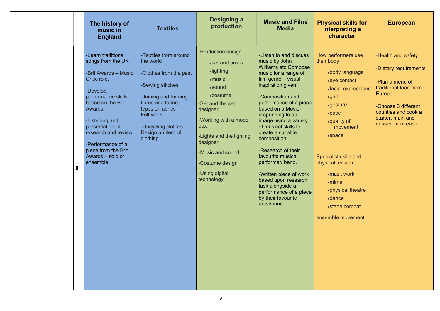- 
- 
- 
- 
- 
- 

|   | The history of<br>music in<br><b>England</b>                                                                                                                                                                                                                                               | <b>Textiles</b>                                                                                                                                                                                                        | <b>Designing a</b><br>production                                                                                                                                                                                                                                           | <b>Music and Film/</b><br><b>Media</b>                                                                                                                                                                                                                                                                                                                                                                                                                                                                                       | <b>Physical skills for</b><br>interpreting a<br>character                                                                                                                                                                                                                                                                                 | <b>European</b>                                                                                                                                                                             |
|---|--------------------------------------------------------------------------------------------------------------------------------------------------------------------------------------------------------------------------------------------------------------------------------------------|------------------------------------------------------------------------------------------------------------------------------------------------------------------------------------------------------------------------|----------------------------------------------------------------------------------------------------------------------------------------------------------------------------------------------------------------------------------------------------------------------------|------------------------------------------------------------------------------------------------------------------------------------------------------------------------------------------------------------------------------------------------------------------------------------------------------------------------------------------------------------------------------------------------------------------------------------------------------------------------------------------------------------------------------|-------------------------------------------------------------------------------------------------------------------------------------------------------------------------------------------------------------------------------------------------------------------------------------------------------------------------------------------|---------------------------------------------------------------------------------------------------------------------------------------------------------------------------------------------|
| 8 | -Learn traditional<br>songs from the UK<br>-Brit Awards - Music<br>Critic role.<br>-Develop<br>performance skills<br>based on the Brit<br>Awards.<br>-Listening and<br>presentation of<br>research and review.<br>-Performance of a<br>piece from the Brit<br>Awards - solo or<br>ensemble | -Textiles from around<br>the world<br>-Clothes from the past<br>-Sewing stitches<br>-Joining and forming<br>fibres and fabrics<br>types of fabrics<br>Felt work<br>-Upcycling clothes<br>Design an item of<br>clothing | -Production design<br>• set and props<br>·lighting<br>$\cdot$ music<br>• sound<br>• costume<br>-Set and the set<br>designer<br>-Working with a model<br>box<br>-Lights and the lighting<br>designer<br>-Music and sound<br>-Costume design<br>-Using digital<br>technology | -Listen to and discuss<br>music by John<br><b>Williams etc Compose</b><br>music for a range of<br>film genre - visual<br>inspiration given.<br>-Composition and<br>performance of a piece<br>based on a Movie-<br>responding to an<br>image using a variety<br>of musical skills to<br>create a suitable<br>composition.<br>-Research of their<br>favourite musical<br>performer/ band.<br>-Written piece of work<br>based upon research<br>task alongside a<br>performance of a piece<br>by their favourite<br>artist/band. | How performers use<br>their body<br>•body language<br>• eye contact<br>• facial expressions<br>$\bullet$ gait<br>•gesture<br>·pace<br>•quality of<br>movement<br>• space<br><b>Specialist skills and</b><br>physical tension<br>• mask work<br>$\cdot$ mime<br>• physical theatre<br><b>•dance</b><br>• stage combat<br>ensemble movement | -Health and safety.<br>-Dietary requirements<br>-Plan a menu of<br>traditional food from<br>Europe<br>-Choose 3 different<br>counties and cook a<br>starter, main and<br>dessert from each. |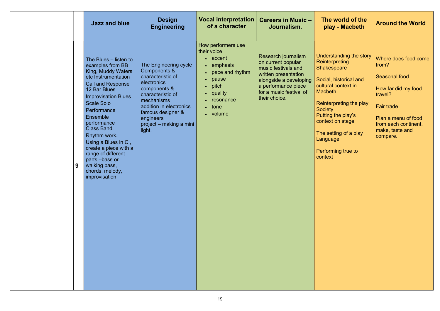|   | <b>Jazz and blue</b>                                                                                                                                                                                                                                                                                                                                                                                                      | <b>Design</b><br><b>Engineering</b>                                                                                                                                                                                            | <b>Vocal interpretation</b><br>of a character                                                                                                                                                                              | <b>Careers in Music -</b><br>Journalism.                                                                                                                                              | The world of the<br>play - Macbeth                                                                                                                                                                                                                                                                     | <b>Around the World</b>                                                                                                                                                                    |
|---|---------------------------------------------------------------------------------------------------------------------------------------------------------------------------------------------------------------------------------------------------------------------------------------------------------------------------------------------------------------------------------------------------------------------------|--------------------------------------------------------------------------------------------------------------------------------------------------------------------------------------------------------------------------------|----------------------------------------------------------------------------------------------------------------------------------------------------------------------------------------------------------------------------|---------------------------------------------------------------------------------------------------------------------------------------------------------------------------------------|--------------------------------------------------------------------------------------------------------------------------------------------------------------------------------------------------------------------------------------------------------------------------------------------------------|--------------------------------------------------------------------------------------------------------------------------------------------------------------------------------------------|
| 9 | The Blues – listen to<br>examples from BB<br>King, Muddy Waters<br>etc Instrumentation<br><b>Call and Response</b><br>12 Bar Blues<br><b>Improvisation Blues</b><br><b>Scale Solo</b><br>Performance<br><b>Ensemble</b><br>performance<br><b>Class Band.</b><br>Rhythm work.<br>Using a Blues in C,<br>create a piece with a<br>range of different<br>parts -bass or<br>walking bass,<br>chords, melody,<br>improvisation | The Engineering cycle<br>Components &<br>characteristic of<br>electronics<br>components &<br>characteristic of<br>mechanisms<br>addition in electronics<br>famous designer &<br>engineers<br>project - making a mini<br>light. | How performers use<br>their voice<br>• accent<br>emphasis<br>$\bullet$ .<br>pace and rhythm<br>$\bullet$<br>pause<br>pitch<br>$\bullet$<br>quality<br>$\bullet$<br>resonance<br>$\bullet$<br>tone<br>$\bullet$<br>• volume | Research journalism<br>on current popular<br>music festivals and<br>written presentation<br>alongside a developing<br>a performance piece<br>for a music festival of<br>their choice. | <b>Understanding the story</b><br>Reinterpreting<br><b>Shakespeare</b><br>Social, historical and<br>cultural context in<br><b>Macbeth</b><br>Reinterpreting the play<br><b>Society</b><br>Putting the play's<br>context on stage<br>The setting of a play<br>Language<br>Performing true to<br>context | Where does food come<br>from?<br><b>Seasonal food</b><br>How far did my food<br>travel?<br><b>Fair trade</b><br>Plan a menu of food<br>from each continent,<br>make, taste and<br>compare. |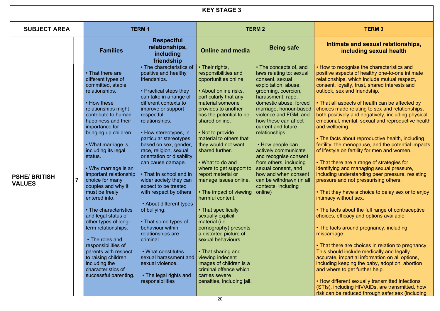### mate and sexual relationships, including sexual health

recognise the characteristics and aspects of healthy one-to-one intimate ships, which include mutual respect, , loyalty, trust, shared interests and sex and friendship.

Il aspects of health can be affected by made relating to sex and relationships, sitively and negatively, including physical, al, mental, sexual and reproductive health lbeing.

cts about reproductive health, including the menopause, and the potential impacts le on fertility for men and women.

ere are a range of strategies for ng and managing sexual pressure, q understanding peer pressure, resisting e and not pressurising others.

ey have a choice to delay sex or to enjoy without sex.

cts about the full range of contraceptive efficacy and options available.

cts around pregnancy, including age.

ere are choices in relation to pregnancy. ould include medically and legally  $\mathsf{e},$  impartial information on all options, g keeping the baby, adoption, abortion  $\frac{1}{2}$  and  $\frac{1}{2}$  further help.

ifferent sexually transmitted infections ncluding HIV/AIDs, are transmitted, how be reduced through safer sex (including

|                                      |                                                                                                                                                                                                                                                                                                                                                                                                                                                                                                                                                                                                                                                              |                                                                                                                                                                                                                                                                                                                                                                                                                                                                                                                                                                                                                                                                                                               | <b>KEY STAGE 3</b>                                                                                                                                                                                                                                                                                                                                                                                                                                                                                                                                                                                                                                                                                                                     |                                                                                                                                                                                                                                                                                                                                                                                                                                                                                                    |                                                                                                                                                                                                                                                                                                                                                                                                                                                                                                                                                                                                                                                                                                                                                                                                                                                                                                                                                                                                                                                           |
|--------------------------------------|--------------------------------------------------------------------------------------------------------------------------------------------------------------------------------------------------------------------------------------------------------------------------------------------------------------------------------------------------------------------------------------------------------------------------------------------------------------------------------------------------------------------------------------------------------------------------------------------------------------------------------------------------------------|---------------------------------------------------------------------------------------------------------------------------------------------------------------------------------------------------------------------------------------------------------------------------------------------------------------------------------------------------------------------------------------------------------------------------------------------------------------------------------------------------------------------------------------------------------------------------------------------------------------------------------------------------------------------------------------------------------------|----------------------------------------------------------------------------------------------------------------------------------------------------------------------------------------------------------------------------------------------------------------------------------------------------------------------------------------------------------------------------------------------------------------------------------------------------------------------------------------------------------------------------------------------------------------------------------------------------------------------------------------------------------------------------------------------------------------------------------------|----------------------------------------------------------------------------------------------------------------------------------------------------------------------------------------------------------------------------------------------------------------------------------------------------------------------------------------------------------------------------------------------------------------------------------------------------------------------------------------------------|-----------------------------------------------------------------------------------------------------------------------------------------------------------------------------------------------------------------------------------------------------------------------------------------------------------------------------------------------------------------------------------------------------------------------------------------------------------------------------------------------------------------------------------------------------------------------------------------------------------------------------------------------------------------------------------------------------------------------------------------------------------------------------------------------------------------------------------------------------------------------------------------------------------------------------------------------------------------------------------------------------------------------------------------------------------|
| <b>SUBJECT AREA</b>                  |                                                                                                                                                                                                                                                                                                                                                                                                                                                                                                                                                                                                                                                              | <b>TERM1</b>                                                                                                                                                                                                                                                                                                                                                                                                                                                                                                                                                                                                                                                                                                  |                                                                                                                                                                                                                                                                                                                                                                                                                                                                                                                                                                                                                                                                                                                                        | <b>TERM 2</b>                                                                                                                                                                                                                                                                                                                                                                                                                                                                                      | <b>TERM 3</b>                                                                                                                                                                                                                                                                                                                                                                                                                                                                                                                                                                                                                                                                                                                                                                                                                                                                                                                                                                                                                                             |
|                                      | <b>Families</b>                                                                                                                                                                                                                                                                                                                                                                                                                                                                                                                                                                                                                                              | <b>Respectful</b><br>relationships,<br>including<br>friendship                                                                                                                                                                                                                                                                                                                                                                                                                                                                                                                                                                                                                                                | <b>Online and media</b>                                                                                                                                                                                                                                                                                                                                                                                                                                                                                                                                                                                                                                                                                                                | <b>Being safe</b>                                                                                                                                                                                                                                                                                                                                                                                                                                                                                  | Intimate and sexual r<br>including sexua                                                                                                                                                                                                                                                                                                                                                                                                                                                                                                                                                                                                                                                                                                                                                                                                                                                                                                                                                                                                                  |
| <b>PSHE/BRITISH</b><br><b>VALUES</b> | • That there are<br>different types of<br>committed, stable<br>relationships.<br>• How these<br>relationships might<br>contribute to human<br>happiness and their<br>importance for<br>bringing up children.<br>• What marriage is,<br>including its legal<br>status.<br>• Why marriage is an<br>important relationship<br>choice for many<br>couples and why it<br>must be freely<br>entered into.<br>• The characteristics<br>and legal status of<br>other types of long-<br>term relationships.<br>• The roles and<br>responsibilities of<br>parents with respect<br>to raising children,<br>including the<br>characteristics of<br>successful parenting. | • The characteristics of<br>positive and healthy<br>friendships.<br>• Practical steps they<br>can take in a range of<br>different contexts to<br>improve or support<br>respectful<br>relationships.<br>• How stereotypes, in<br>particular stereotypes<br>based on sex, gender,<br>race, religion, sexual<br>orientation or disability,<br>can cause damage.<br>• That in school and in<br>wider society they can<br>expect to be treated<br>with respect by others<br>• About different types<br>of bullying.<br>• That some types of<br>behaviour within<br>relationships are<br>criminal.<br>• What constitutes<br>sexual harassment and<br>sexual violence.<br>• The legal rights and<br>responsibilities | • Their rights,<br>responsibilities and<br>opportunities online.<br>• About online risks,<br>particularly that any<br>material someone<br>provides to another<br>has the potential to be<br>shared online.<br>• Not to provide<br>material to others that<br>they would not want<br>shared further.<br>• What to do and<br>where to get support to<br>report material or<br>manage issues online.<br>• The impact of viewing<br>harmful content.<br>• That specifically<br>sexually explicit<br>material (i.e.<br>pornography) presents<br>a distorted picture of<br>sexual behaviours.<br>• That sharing and<br>viewing indecent<br>images of children is a<br>criminal offence which<br>carries severe<br>penalties, including jail. | • The concepts of, and<br>laws relating to: sexual<br>consent, sexual<br>exploitation, abuse,<br>grooming, coercion,<br>harassment, rape,<br>domestic abuse, forced<br>marriage, honour-based<br>violence and FGM, and<br>how these can affect<br>current and future<br>relationships.<br>• How people can<br>actively communicate<br>and recognise consent<br>from others, including<br>sexual consent, and<br>how and when consent<br>can be withdrawn (in all<br>contexts, including<br>online) | • How to recognise the charac<br>positive aspects of healthy on<br>relationships, which include m<br>consent, loyalty, trust, shared<br>outlook, sex and friendship.<br>• That all aspects of health car<br>choices made relating to sex a<br>both positively and negatively,<br>emotional, mental, sexual and<br>and wellbeing.<br>• The facts about reproductive<br>fertility, the menopause, and th<br>of lifestyle on fertility for men a<br>• That there are a range of stra<br>identifying and managing sexu<br>including understanding peer<br>pressure and not pressurising<br>• That they have a choice to d<br>intimacy without sex.<br>• The facts about the full range<br>choices, efficacy and options a<br>• The facts around pregnancy,<br>miscarriage.<br>• That there are choices in rela<br>This should include medically<br>accurate, impartial information<br>including keeping the baby, ad<br>and where to get further help.<br>• How different sexually transr<br>(STIs), including HIV/AIDs, are<br>risk can be reduced through s |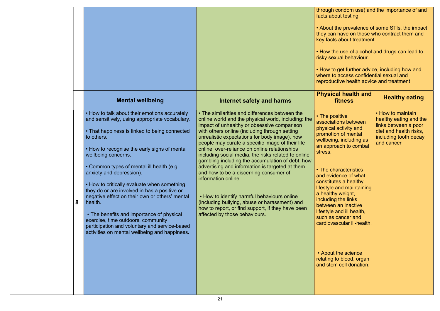condom use) and the importance of and pout testing.

• About the prevalence of some STIs, the impact they can have on those who contract them and key factor free<br>ts about treatment.

> he use of alcohol and drugs can lead to xual behaviour.

• How to get further advice, including how and where to access confidential sexual and ictive health advice and treatment

|   |                                                                                                                                                                                                                                                                                                                                                                                                                                                                                                                                                                                                                                                                 |                                                                                                                                                                                                                                                                                                                                                                                                                                                                                                                                                                                                                                                                                                                                                                                  | through condo<br>facts about tes<br>• About the pre<br>they can have<br>key facts abou<br>• How the use<br>risky sexual be<br>• How to get fu<br>where to acces<br>reproductive h                                                                                                                                                                   |
|---|-----------------------------------------------------------------------------------------------------------------------------------------------------------------------------------------------------------------------------------------------------------------------------------------------------------------------------------------------------------------------------------------------------------------------------------------------------------------------------------------------------------------------------------------------------------------------------------------------------------------------------------------------------------------|----------------------------------------------------------------------------------------------------------------------------------------------------------------------------------------------------------------------------------------------------------------------------------------------------------------------------------------------------------------------------------------------------------------------------------------------------------------------------------------------------------------------------------------------------------------------------------------------------------------------------------------------------------------------------------------------------------------------------------------------------------------------------------|-----------------------------------------------------------------------------------------------------------------------------------------------------------------------------------------------------------------------------------------------------------------------------------------------------------------------------------------------------|
|   | <b>Mental wellbeing</b>                                                                                                                                                                                                                                                                                                                                                                                                                                                                                                                                                                                                                                         | <b>Internet safety and harms</b>                                                                                                                                                                                                                                                                                                                                                                                                                                                                                                                                                                                                                                                                                                                                                 | <b>Physical he</b><br>fitnes                                                                                                                                                                                                                                                                                                                        |
| 8 | • How to talk about their emotions accurately<br>and sensitively, using appropriate vocabulary.<br>• That happiness is linked to being connected<br>to others.<br>• How to recognise the early signs of mental<br>wellbeing concerns.<br>• Common types of mental ill health (e.g.<br>anxiety and depression).<br>• How to critically evaluate when something<br>they do or are involved in has a positive or<br>negative effect on their own or others' mental<br>health.<br>• The benefits and importance of physical<br>exercise, time outdoors, community<br>participation and voluntary and service-based<br>activities on mental wellbeing and happiness. | • The similarities and differences between the<br>online world and the physical world, including: the<br>impact of unhealthy or obsessive comparison<br>with others online (including through setting<br>unrealistic expectations for body image), how<br>people may curate a specific image of their life<br>online, over-reliance on online relationships<br>including social media, the risks related to online<br>gambling including the accumulation of debt, how<br>advertising and information is targeted at them<br>and how to be a discerning consumer of<br>information online.<br>. How to identify harmful behaviours online<br>(including bullying, abuse or harassment) and<br>how to report, or find support, if they have been<br>affected by those behaviours. | • The positive<br>associations b<br>physical activit<br>promotion of n<br>wellbeing, incl<br>an approach to<br>stress.<br>• The characte<br>and evidence<br>constitutes a h<br>lifestyle and m<br>a healthy weig<br>including the li<br>between an in<br>lifestyle and ill<br>such as cance<br>cardiovascular<br>• About the so<br>relating to blod |
|   |                                                                                                                                                                                                                                                                                                                                                                                                                                                                                                                                                                                                                                                                 |                                                                                                                                                                                                                                                                                                                                                                                                                                                                                                                                                                                                                                                                                                                                                                                  | and stem cell                                                                                                                                                                                                                                                                                                                                       |

| <b>Physical health and</b><br>fitness                                                                                                                                                                                                                   | <b>Healthy eating</b>                                                                                                                |
|---------------------------------------------------------------------------------------------------------------------------------------------------------------------------------------------------------------------------------------------------------|--------------------------------------------------------------------------------------------------------------------------------------|
| • The positive<br>associations between<br>physical activity and<br>promotion of mental<br>wellbeing, including as<br>an approach to combat<br>stress.                                                                                                   | • How to maintain<br>healthy eating and the<br>links between a poor<br>diet and health risks,<br>including tooth decay<br>and cancer |
| • The characteristics<br>and evidence of what<br>constitutes a healthy<br>lifestyle and maintaining<br>a healthy weight,<br>including the links<br>between an inactive<br>lifestyle and ill health,<br>such as cancer and<br>cardiovascular ill-health. |                                                                                                                                      |
| • About the science<br>relating to blood, organ<br>and stem cell donation.                                                                                                                                                                              |                                                                                                                                      |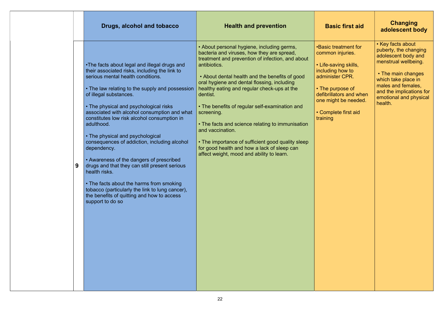### $\ddot{\textbf{s}}$ ic first aid

eatment for r injuries.

ving skills,  $\overline{\phantom{a}}$  how to g now to<br>ler CPR.

rpose of  $\overline{\text{tors}}$  and when ht be needed.

ete first aid

### **Changing** adolescent body

|   | Drugs, alcohol and tobacco                                                                                                                                                                                                                                                                                                                                                                                                                                                                                                                                                                                                                                                                                                                               | <b>Health and prevention</b>                                                                                                                                                                                                                                                                                                                                                                                                                                                                                                                                                                                      | <b>Bas</b>                                                                                                                       |
|---|----------------------------------------------------------------------------------------------------------------------------------------------------------------------------------------------------------------------------------------------------------------------------------------------------------------------------------------------------------------------------------------------------------------------------------------------------------------------------------------------------------------------------------------------------------------------------------------------------------------------------------------------------------------------------------------------------------------------------------------------------------|-------------------------------------------------------------------------------------------------------------------------------------------------------------------------------------------------------------------------------------------------------------------------------------------------------------------------------------------------------------------------------------------------------------------------------------------------------------------------------------------------------------------------------------------------------------------------------------------------------------------|----------------------------------------------------------------------------------------------------------------------------------|
| 9 | •The facts about legal and illegal drugs and<br>their associated risks, including the link to<br>serious mental health conditions.<br>• The law relating to the supply and possession<br>of illegal substances.<br>• The physical and psychological risks<br>associated with alcohol consumption and what<br>constitutes low risk alcohol consumption in<br>adulthood.<br>• The physical and psychological<br>consequences of addiction, including alcohol<br>dependency.<br>• Awareness of the dangers of prescribed<br>drugs and that they can still present serious<br>health risks.<br>• The facts about the harms from smoking<br>tobacco (particularly the link to lung cancer),<br>the benefits of quitting and how to access<br>support to do so | • About personal hygiene, including germs,<br>bacteria and viruses, how they are spread,<br>treatment and prevention of infection, and about<br>antibiotics.<br>• About dental health and the benefits of good<br>oral hygiene and dental flossing, including<br>healthy eating and regular check-ups at the<br>dentist.<br>• The benefits of regular self-examination and<br>screening.<br>• The facts and science relating to immunisation<br>and vaccination.<br>• The importance of sufficient good quality sleep<br>for good health and how a lack of sleep can<br>affect weight, mood and ability to learn. | •Basic tre<br>common<br>• Life-say<br>including<br>administ<br>$\cdot$ The pu<br>defibrillat<br>one migh<br>• Comple<br>training |

• Key facts about puberty, the changing adolescent body and menstrual wellbeing.

 • The main changes which take place in males and females, and the implications for emotional and physical health.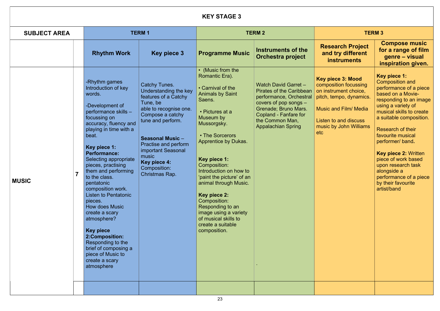### KEY STAGE 3 SUBJECT AREA TERM 1 TERM 1 TERM 2 Rhythm Work  $\begin{array}{|c|c|c|c|c|c|}\n\hline\n\text{Key piece 3} & \text{Programme Music} & \text{Inserting presidenting:} \\
\hline\n\end{array}$ Orchestra project **Rese** and MUSIC 7 -Rhythm games Introduction of key words. -Development of performance skills – focussing on accuracy, fluency and playing in time with a beat. Key piece 1: Performance: Selecting appropriate pieces, practising them and performing to the class. pentatonic composition work. Listen to Pentatonic pieces. How does Music create a scary atmosphere? Key piece 2:Composition: Responding to the brief of composing a piece of Music to create a scary atmosphere Catchy Tunes. Understanding the key features of a Catchy Tune, be able to recognise one. Compose a catchy tune and perform. Seasonal Music – Practise and perform important Seasonal music Key piece 4: Composition: Christmas Rap. • (Music from the Romantic Era). • Carnival of the Animals by Saint Saens. • Pictures at a Museum by Mussorgsky. • The Sorcerors Apprentice by Dukas. Key piece 1: Composition: Introduction on how to 'paint the picture' of an animal through Music. Key piece 2: Composition: Responding to an image using a variety of musical skills to create a suitable composition. Watch David Garret – Pirates of the Caribbean performance, Orchestral covers of pop songs – Grenade; Bruno Mars. Copland - Fanfare for the Common Man, Appalachian Spring . Key pi compo on inst pitch,  $t$ **Music** Listen music etc

| <b>TERM3</b>                                                                                                                                 |                                                                                                                                                                                                                                                                                                                                                                                                                                    |  |  |  |  |
|----------------------------------------------------------------------------------------------------------------------------------------------|------------------------------------------------------------------------------------------------------------------------------------------------------------------------------------------------------------------------------------------------------------------------------------------------------------------------------------------------------------------------------------------------------------------------------------|--|--|--|--|
| search Project<br><b>nd try different</b><br><b>instruments</b>                                                                              | <b>Compose music</b><br>for a range of film<br>genre – visual<br>inspiration given.                                                                                                                                                                                                                                                                                                                                                |  |  |  |  |
| piece 3: Mood<br>position focussing<br>strument choice,<br>, tempo, dynamics.<br>c and Film/ Media<br>n to and discuss<br>c by John Williams | <b>Key piece 1:</b><br><b>Composition and</b><br>performance of a piece<br>based on a Movie-<br>responding to an image<br>using a variety of<br>musical skills to create<br>a suitable composition.<br><b>Research of their</b><br>favourite musical<br>performer/ band.<br><b>Key piece 2: Written</b><br>piece of work based<br>upon research task<br>alongside a<br>performance of a piece<br>by their favourite<br>artist/band |  |  |  |  |
|                                                                                                                                              |                                                                                                                                                                                                                                                                                                                                                                                                                                    |  |  |  |  |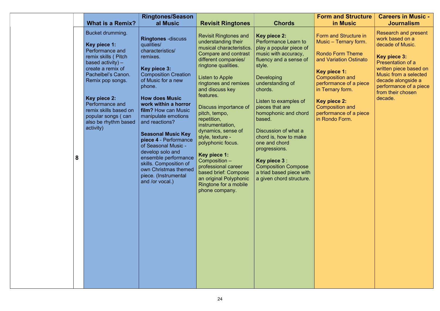|   |                                                                                                                                                                                                                                                                                         | <b>Ringtones/Season</b>                                                                                                                                                                                                                                                                                                                                                                                                                                                                              |                                                                                                                                                                                                                                                                                                                                                                                                                                                                                                           |                                                                                                                                                                                                                                                                                                                                                                                                                                                                                        | <b>Form and Structure</b>                                                                                                                                                                                                                                           | <b>Careers in Music -</b>                                                                                                                                                                                                                  |
|---|-----------------------------------------------------------------------------------------------------------------------------------------------------------------------------------------------------------------------------------------------------------------------------------------|------------------------------------------------------------------------------------------------------------------------------------------------------------------------------------------------------------------------------------------------------------------------------------------------------------------------------------------------------------------------------------------------------------------------------------------------------------------------------------------------------|-----------------------------------------------------------------------------------------------------------------------------------------------------------------------------------------------------------------------------------------------------------------------------------------------------------------------------------------------------------------------------------------------------------------------------------------------------------------------------------------------------------|----------------------------------------------------------------------------------------------------------------------------------------------------------------------------------------------------------------------------------------------------------------------------------------------------------------------------------------------------------------------------------------------------------------------------------------------------------------------------------------|---------------------------------------------------------------------------------------------------------------------------------------------------------------------------------------------------------------------------------------------------------------------|--------------------------------------------------------------------------------------------------------------------------------------------------------------------------------------------------------------------------------------------|
|   | <b>What is a Remix?</b>                                                                                                                                                                                                                                                                 | al Music                                                                                                                                                                                                                                                                                                                                                                                                                                                                                             | <b>Revisit Ringtones</b>                                                                                                                                                                                                                                                                                                                                                                                                                                                                                  | <b>Chords</b>                                                                                                                                                                                                                                                                                                                                                                                                                                                                          | in Music                                                                                                                                                                                                                                                            | <b>Journalism</b>                                                                                                                                                                                                                          |
| 8 | Bucket drumming.<br>Key piece 1:<br>Performance and<br>remix skills (Pitch<br>based activity) $-$<br>create a remix of<br>Pachelbel's Canon.<br>Remix pop songs.<br>Key piece 2:<br>Performance and<br>remix skills based on<br>popular songs (can<br>also be rhythm based<br>activity) | <b>Ringtones -discuss</b><br>qualities/<br>characteristics/<br>remixes.<br>Key piece 3:<br><b>Composition Creation</b><br>of Music for a new<br>phone.<br><b>How does Music</b><br>work within a horror<br><b>film?</b> How can Music<br>manipulate emotions<br>and reactions?<br><b>Seasonal Music Key</b><br>piece 4 - Performance<br>of Seasonal Music -<br>develop solo and<br>ensemble performance<br>skills. Composition of<br>own Christmas themed<br>piece. (Instrumental<br>and /or vocal.) | <b>Revisit Ringtones and</b><br>understanding their<br>musical characteristics.<br>Compare and contrast<br>different companies/<br>ringtone qualities.<br>Listen to Apple<br>ringtones and remixes<br>and discuss key<br>features.<br>Discuss importance of<br>pitch, tempo,<br>repetition,<br>instrumentation,<br>dynamics, sense of<br>style, texture -<br>polyphonic focus.<br>Key piece 1:<br>Composition -<br>professional career<br>based brief: Compose<br>Ringtone for a mobile<br>phone company. | Key piece 2:<br>Performance Learn to<br>play a popular piece of<br>music with accuracy,<br>fluency and a sense of<br>style.<br><b>Developing</b><br>understanding of<br>chords.<br>Listen to examples of<br>pieces that are<br>homophonic and chord<br>based.<br>Discussion of what a<br>chord is, how to make<br>one and chord<br>progressions.<br><b>Key piece 3:</b><br><b>Composition Compose</b><br>a triad based piece with<br>an original Polyphonic   a given chord structure. | Form and Structure in<br>Music – Ternary form.<br><b>Rondo Form Theme</b><br>and Variation Ostinato<br>Key piece 1:<br>Composition and<br>performance of a piece<br>in Ternary form.<br>Key piece 2:<br>Composition and<br>performance of a piece<br>in Rondo Form. | <b>Research and present</b><br>work based on a<br>decade of Music.<br>Key piece 3:<br>Presentation of a<br>written piece based on<br>Music from a selected<br>decade alongside a<br>performance of a piece<br>from their chosen<br>decade. |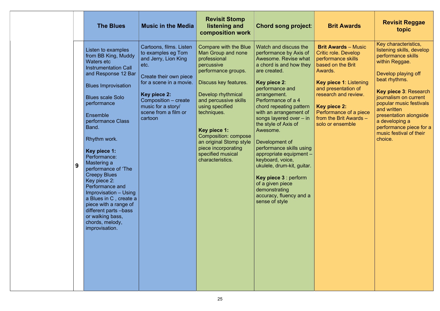### **rit Awards**

wards – Music ole. Develop  $n$ ance skills on the Brit

ece 1: Listening esentation of ch and review.

### $ece$  2:

nance of a piece  $e$  Brit Awards – ensemble

### Revisit Reggae topic

| 9 |
|---|

Develop playing off beat rhythms.

Key piece 3: Research journalism on current popular music festivals and written presentation alongside a developing a performance piece for a music festival of their choice.

Key characteristics, listening skills, develop performance skills within Reggae.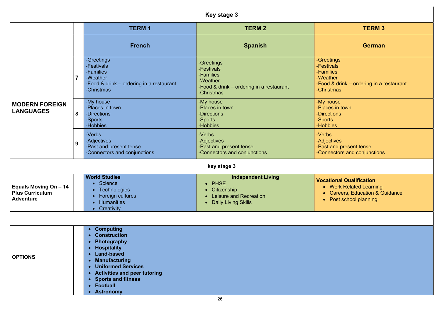ler  $\&$  drink – ordering in a restaurant  $\overline{\text{mas}}$ 

onal Qualification Work Related Learning  $\mathsf{S}$ areers, Education &  $\mathsf{\tilde{G}}$ uidance Post school planning

|                                                                     |                |                                                                                                                                                                                                                                        | <b>Key stage 3</b>                                                                                                 |                                                                                                                   |
|---------------------------------------------------------------------|----------------|----------------------------------------------------------------------------------------------------------------------------------------------------------------------------------------------------------------------------------------|--------------------------------------------------------------------------------------------------------------------|-------------------------------------------------------------------------------------------------------------------|
|                                                                     |                | <b>TERM1</b>                                                                                                                                                                                                                           | <b>TERM 2</b>                                                                                                      | <b>TERM 3</b>                                                                                                     |
|                                                                     |                | <b>French</b>                                                                                                                                                                                                                          | <b>Spanish</b>                                                                                                     | <b>German</b>                                                                                                     |
|                                                                     | $\overline{7}$ | -Greetings<br>-Festivals<br>-Families<br>-Weather<br>-Food & drink – ordering in a restaurant<br>-Christmas                                                                                                                            | -Greetings<br>-Festivals<br>-Families<br>-Weather<br>-Food & drink – ordering in a restaurant<br>-Christmas        | -Greetings<br>-Festivals<br>-Families<br>-Weather<br>-Food & drink – ordering in a re<br>-Christmas               |
| <b>MODERN FOREIGN</b><br><b>LANGUAGES</b>                           | 8              | -My house<br>-Places in town<br>-Directions<br>-Sports<br>-Hobbies                                                                                                                                                                     | -My house<br>-Places in town<br>-Directions<br>-Sports<br>-Hobbies                                                 | -My house<br>-Places in town<br>-Directions<br>-Sports<br>-Hobbies                                                |
|                                                                     | 9              | -Verbs<br>-Adjectives<br>-Past and present tense<br>-Connectors and conjunctions                                                                                                                                                       | -Verbs<br>-Adjectives<br>-Past and present tense<br>-Connectors and conjunctions                                   | -Verbs<br>-Adjectives<br>-Past and present tense<br>-Connectors and conjunctions                                  |
|                                                                     |                |                                                                                                                                                                                                                                        | key stage 3                                                                                                        |                                                                                                                   |
| Equals Moving On - 14<br><b>Plus Curriculum</b><br><b>Adventure</b> |                | <b>World Studies</b><br>• Science<br>• Technologies<br><b>Foreign cultures</b><br><b>Humanities</b><br>• Creativity                                                                                                                    | <b>Independent Living</b><br>• PHSE<br>Citizenship<br>$\bullet$<br>Leisure and Recreation<br>• Daily Living Skills | <b>Vocational Qualification</b><br>• Work Related Learning<br>• Careers, Education & Gu<br>• Post school planning |
| <b>OPTIONS</b>                                                      |                | • Computing<br>• Construction<br>Photography<br>• Hospitality<br><b>Land-based</b><br><b>Manufacturing</b><br>$\bullet$<br>• Uniformed Services<br>• Activities and peer tutoring<br>• Sports and fitness<br>• Football<br>• Astronomy |                                                                                                                    |                                                                                                                   |